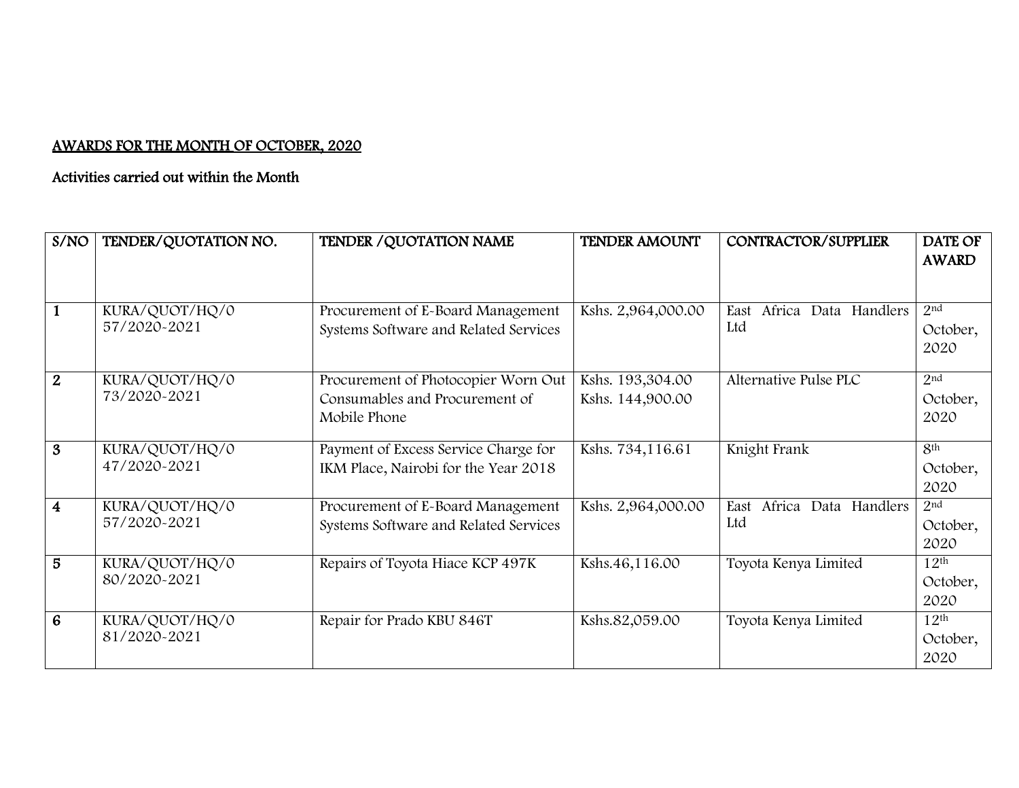## AWARDS FOR THE MONTH OF OCTOBER, 2020

## Activities carried out within the Month

| S/NO                    | TENDER/QUOTATION NO.           | TENDER / QUOTATION NAME               | <b>TENDER AMOUNT</b> | CONTRACTOR/SUPPLIER             | DATE OF          |
|-------------------------|--------------------------------|---------------------------------------|----------------------|---------------------------------|------------------|
|                         |                                |                                       |                      |                                 | <b>AWARD</b>     |
|                         |                                |                                       |                      |                                 |                  |
|                         | KURA/QUOT/HQ/0                 | Procurement of E-Board Management     | Kshs. 2,964,000.00   | Africa Data Handlers<br>East    | 2 <sup>nd</sup>  |
|                         | 57/2020-2021                   | Systems Software and Related Services |                      | Ltd                             | October,         |
|                         |                                |                                       |                      |                                 | 2020             |
| $\overline{2}$          | KURA/QUOT/HQ/0                 | Procurement of Photocopier Worn Out   | Kshs. 193,304.00     | Alternative Pulse PLC           | 2 <sup>nd</sup>  |
|                         | 73/2020-2021                   | Consumables and Procurement of        | Kshs. 144,900.00     |                                 | October,         |
|                         |                                | Mobile Phone                          |                      |                                 | 2020             |
| 3                       | KURA/QUOT/HQ/0                 | Payment of Excess Service Charge for  | Kshs. 734,116.61     | Knight Frank                    | 8 <sup>th</sup>  |
|                         | 47/2020-2021                   | IKM Place, Nairobi for the Year 2018  |                      |                                 | October,         |
|                         |                                |                                       |                      |                                 | 2020             |
| $\overline{\mathbf{4}}$ | KURA/QUOT/HQ/0                 | Procurement of E-Board Management     | Kshs. 2,964,000.00   | Africa<br>Data Handlers<br>East | 2 <sup>nd</sup>  |
|                         | 57/2020-2021                   | Systems Software and Related Services |                      | Ltd                             | October,         |
|                         |                                |                                       |                      |                                 | 2020             |
| 5                       | KURA/QUOT/HQ/0                 | Repairs of Toyota Hiace KCP 497K      | Kshs.46,116.00       | Toyota Kenya Limited            | $12^{\text{th}}$ |
|                         | 80/2020-2021                   |                                       |                      |                                 | October,         |
|                         |                                |                                       |                      |                                 | 2020             |
| 6                       | KURA/QUOT/HQ/0<br>81/2020-2021 | Repair for Prado KBU 846T             | Kshs.82,059.00       | Toyota Kenya Limited            | $12^{\text{th}}$ |
|                         |                                |                                       |                      |                                 | October,         |
|                         |                                |                                       |                      |                                 | 2020             |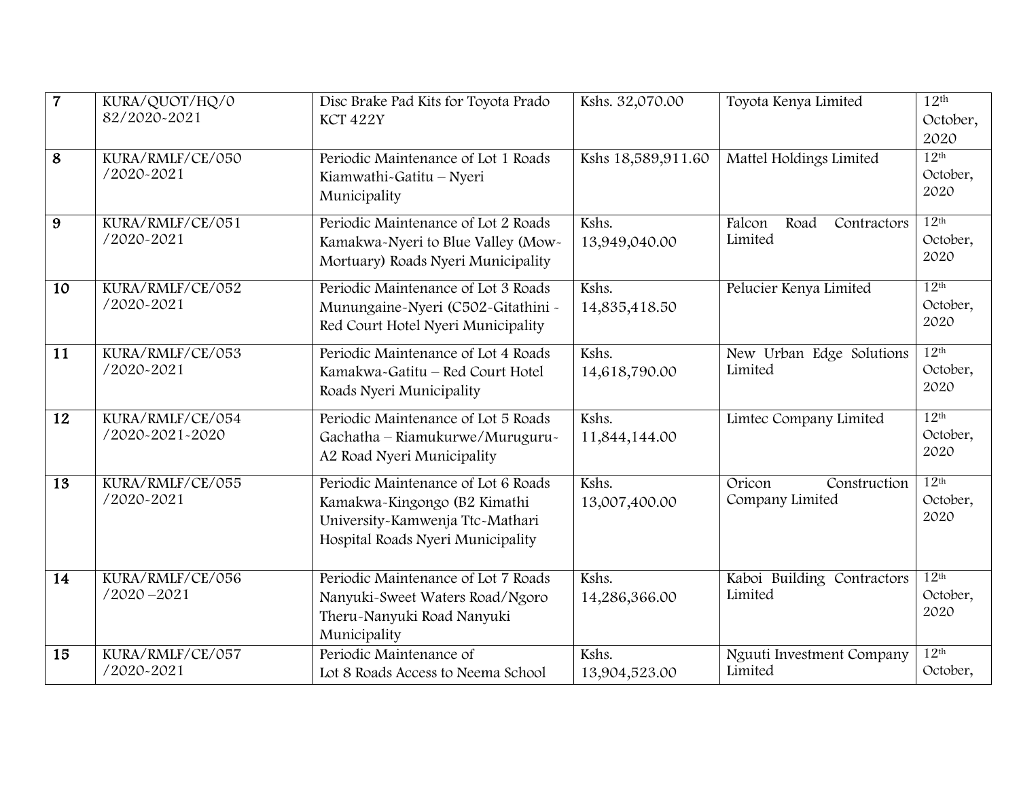| $\overline{7}$ | KURA/QUOT/HQ/0<br>82/2020-2021      | Disc Brake Pad Kits for Toyota Prado<br>KCT 422Y                                                                                            | Kshs. 32,070.00        | Toyota Kenya Limited                      | 12 <sup>th</sup><br>October,<br>2020 |
|----------------|-------------------------------------|---------------------------------------------------------------------------------------------------------------------------------------------|------------------------|-------------------------------------------|--------------------------------------|
| 8              | KURA/RMLF/CE/050<br>/2020-2021      | Periodic Maintenance of Lot 1 Roads<br>Kiamwathi~Gatitu - Nyeri<br>Municipality                                                             | Kshs 18,589,911.60     | Mattel Holdings Limited                   | 12 <sup>th</sup><br>October,<br>2020 |
| 9              | KURA/RMLF/CE/051<br>/2020-2021      | Periodic Maintenance of Lot 2 Roads<br>Kamakwa-Nyeri to Blue Valley (Mow-<br>Mortuary) Roads Nyeri Municipality                             | Kshs.<br>13,949,040.00 | Falcon<br>Road<br>Contractors<br>Limited  | 12 <sup>th</sup><br>October,<br>2020 |
| 10             | KURA/RMLF/CE/052<br>/2020-2021      | Periodic Maintenance of Lot 3 Roads<br>Munungaine-Nyeri (C502-Gitathini -<br>Red Court Hotel Nyeri Municipality                             | Kshs.<br>14,835,418.50 | Pelucier Kenya Limited                    | 12 <sup>th</sup><br>October,<br>2020 |
| 11             | KURA/RMLF/CE/053<br>/2020-2021      | Periodic Maintenance of Lot 4 Roads<br>Kamakwa-Gatitu - Red Court Hotel<br>Roads Nyeri Municipality                                         | Kshs.<br>14,618,790.00 | New Urban Edge Solutions<br>Limited       | 12 <sup>th</sup><br>October,<br>2020 |
| 12             | KURA/RMLF/CE/054<br>/2020-2021-2020 | Periodic Maintenance of Lot 5 Roads<br>Gachatha - Riamukurwe/Muruguru-<br>A2 Road Nyeri Municipality                                        | Kshs.<br>11,844,144.00 | Limtec Company Limited                    | 12 <sup>th</sup><br>October,<br>2020 |
| 13             | KURA/RMLF/CE/055<br>/2020-2021      | Periodic Maintenance of Lot 6 Roads<br>Kamakwa-Kingongo (B2 Kimathi<br>University-Kamwenja Ttc-Mathari<br>Hospital Roads Nyeri Municipality | Kshs.<br>13,007,400.00 | Oricon<br>Construction<br>Company Limited | 12 <sup>th</sup><br>October,<br>2020 |
| 14             | KURA/RMLF/CE/056<br>$/2020 - 2021$  | Periodic Maintenance of Lot 7 Roads<br>Nanyuki-Sweet Waters Road/Ngoro<br>Theru-Nanyuki Road Nanyuki<br>Municipality                        | Kshs.<br>14,286,366.00 | Kaboi Building Contractors<br>Limited     | 12 <sup>th</sup><br>October,<br>2020 |
| 15             | KURA/RMLF/CE/057<br>/2020-2021      | Periodic Maintenance of<br>Lot 8 Roads Access to Neema School                                                                               | Kshs.<br>13,904,523.00 | Nguuti Investment Company<br>Limited      | 12 <sup>th</sup><br>October,         |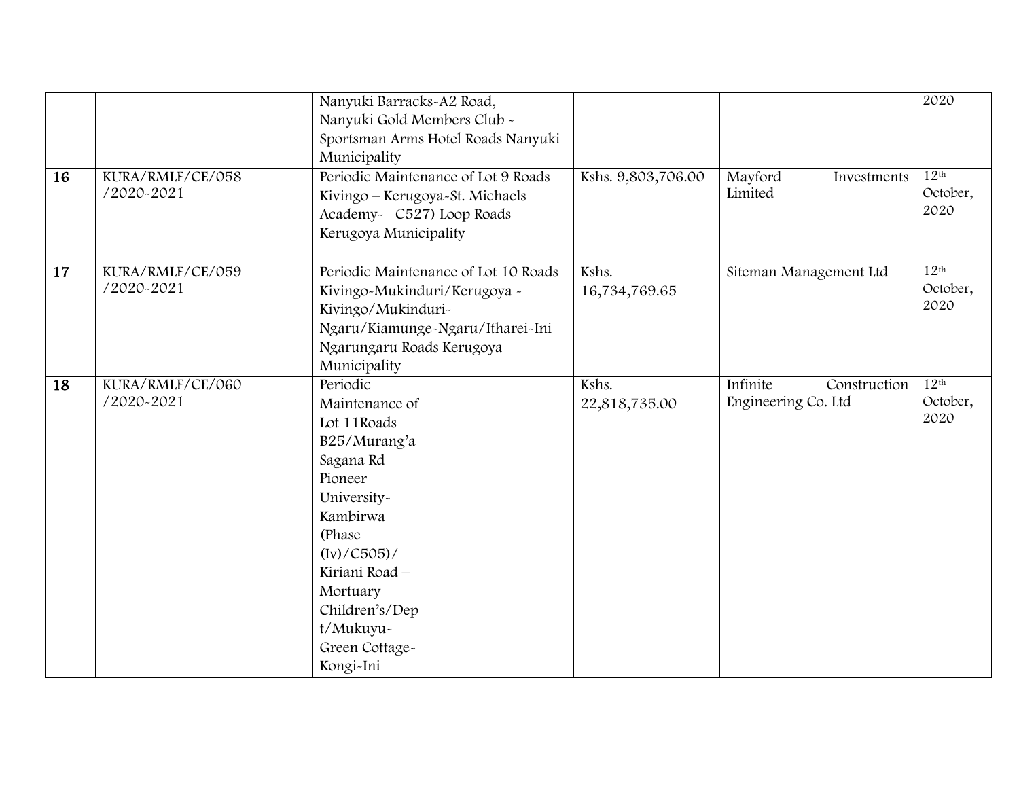| 16              | KURA/RMLF/CE/058<br>/2020-2021 | Nanyuki Barracks-A2 Road,<br>Nanyuki Gold Members Club -<br>Sportsman Arms Hotel Roads Nanyuki<br>Municipality<br>Periodic Maintenance of Lot 9 Roads<br>Kivingo – Kerugoya-St. Michaels<br>Academy- C527) Loop Roads<br>Kerugoya Municipality | Kshs. 9,803,706.00     | Mayford<br>Investments<br>Limited               | 2020<br>12 <sup>th</sup><br>October,<br>2020 |
|-----------------|--------------------------------|------------------------------------------------------------------------------------------------------------------------------------------------------------------------------------------------------------------------------------------------|------------------------|-------------------------------------------------|----------------------------------------------|
| $\overline{17}$ | KURA/RMLF/CE/059<br>/2020-2021 | Periodic Maintenance of Lot 10 Roads<br>Kivingo-Mukinduri/Kerugoya -<br>Kivingo/Mukinduri-<br>Ngaru/Kiamunge-Ngaru/Itharei-Ini<br>Ngarungaru Roads Kerugoya<br>Municipality                                                                    | Kshs.<br>16,734,769.65 | Siteman Management Ltd                          | 12 <sup>th</sup><br>October,<br>2020         |
| 18              | KURA/RMLF/CE/060<br>/2020-2021 | Periodic<br>Maintenance of<br>Lot 11Roads<br>B25/Murang'a<br>Sagana Rd<br>Pioneer<br>University-<br>Kambirwa<br>(Phase)<br>$(Iv) / C505$ /<br>Kiriani Road -<br>Mortuary<br>Children's/Dep<br>t/Mukuyu~<br>Green Cottage-<br>Kongi-Ini         | Kshs.<br>22,818,735.00 | Infinite<br>Construction<br>Engineering Co. Ltd | 12 <sup>th</sup><br>October,<br>2020         |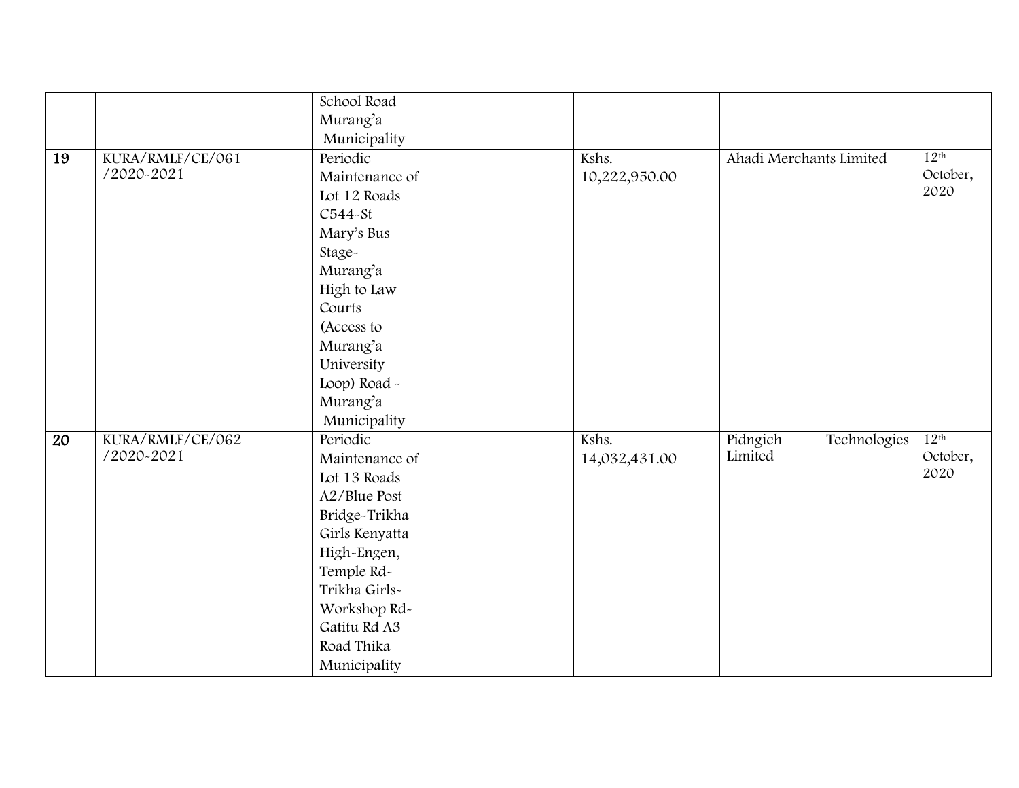|    |                  | School Road    |               |                          |                  |
|----|------------------|----------------|---------------|--------------------------|------------------|
|    |                  | Murang'a       |               |                          |                  |
|    |                  | Municipality   |               |                          |                  |
| 19 | KURA/RMLF/CE/061 | Periodic       | Kshs.         | Ahadi Merchants Limited  | 12 <sup>th</sup> |
|    | /2020-2021       | Maintenance of | 10,222,950.00 |                          | October,         |
|    |                  | Lot 12 Roads   |               |                          | 2020             |
|    |                  | C544-St        |               |                          |                  |
|    |                  | Mary's Bus     |               |                          |                  |
|    |                  | Stage-         |               |                          |                  |
|    |                  | Murang'a       |               |                          |                  |
|    |                  | High to Law    |               |                          |                  |
|    |                  | Courts         |               |                          |                  |
|    |                  | (Access to     |               |                          |                  |
|    |                  | Murang'a       |               |                          |                  |
|    |                  | University     |               |                          |                  |
|    |                  | Loop) Road -   |               |                          |                  |
|    |                  | Murang'a       |               |                          |                  |
|    |                  | Municipality   |               |                          |                  |
| 20 | KURA/RMLF/CE/062 | Periodic       | Kshs.         | Pidngich<br>Technologies | 12 <sup>th</sup> |
|    | /2020-2021       | Maintenance of | 14,032,431.00 | Limited                  | October,         |
|    |                  | Lot 13 Roads   |               |                          | 2020             |
|    |                  | A2/Blue Post   |               |                          |                  |
|    |                  | Bridge-Trikha  |               |                          |                  |
|    |                  | Girls Kenyatta |               |                          |                  |
|    |                  | High-Engen,    |               |                          |                  |
|    |                  | Temple Rd-     |               |                          |                  |
|    |                  | Trikha Girls-  |               |                          |                  |
|    |                  | Workshop Rd-   |               |                          |                  |
|    |                  | Gatitu Rd A3   |               |                          |                  |
|    |                  | Road Thika     |               |                          |                  |
|    |                  | Municipality   |               |                          |                  |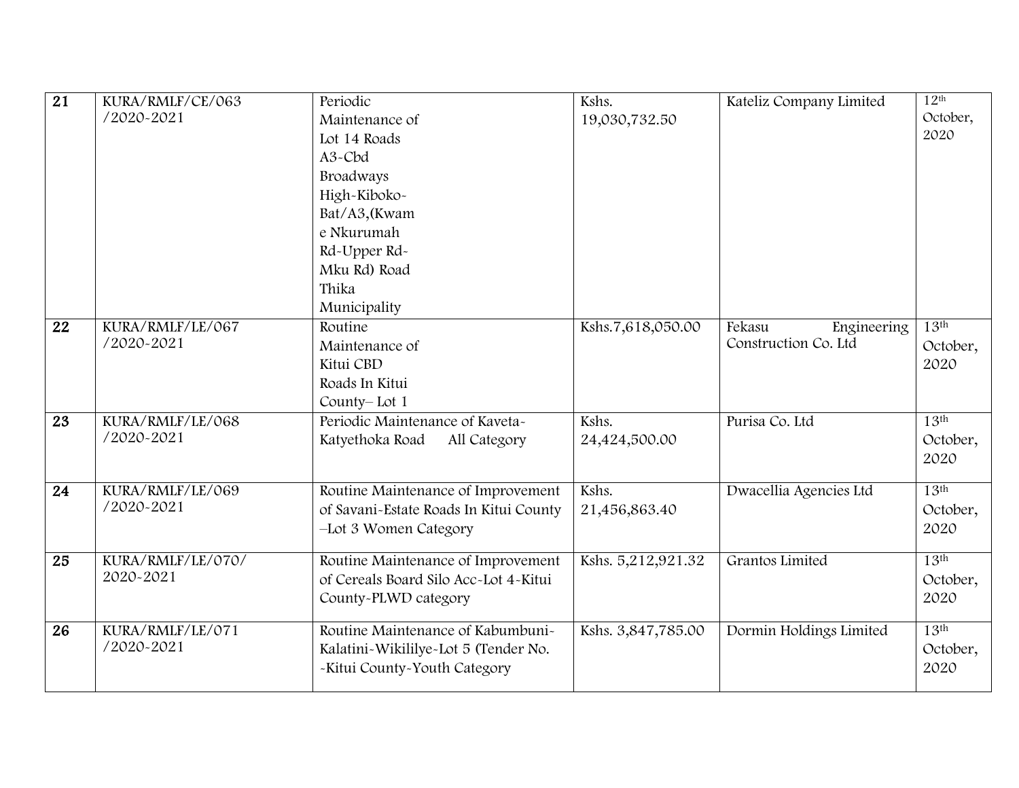| $\overline{21}$ | KURA/RMLF/CE/063  | Periodic                                                                     | Kshs.              | Kateliz Company Limited | 12 <sup>th</sup> |
|-----------------|-------------------|------------------------------------------------------------------------------|--------------------|-------------------------|------------------|
|                 | /2020-2021        | Maintenance of                                                               | 19,030,732.50      |                         | October,         |
|                 |                   | Lot 14 Roads                                                                 |                    |                         | 2020             |
|                 |                   | A <sub>3</sub> -Cbd                                                          |                    |                         |                  |
|                 |                   | Broadways                                                                    |                    |                         |                  |
|                 |                   | High-Kiboko-                                                                 |                    |                         |                  |
|                 |                   | Bat/A3,(Kwam                                                                 |                    |                         |                  |
|                 |                   | e Nkurumah                                                                   |                    |                         |                  |
|                 |                   | Rd-Upper Rd-                                                                 |                    |                         |                  |
|                 |                   | Mku Rd) Road                                                                 |                    |                         |                  |
|                 |                   | Thika                                                                        |                    |                         |                  |
|                 |                   | Municipality                                                                 |                    |                         |                  |
| 22              | KURA/RMLF/LE/067  | Routine                                                                      | Kshs.7,618,050.00  | Fekasu<br>Engineering   | 13 <sup>th</sup> |
|                 | /2020-2021        | Maintenance of                                                               |                    | Construction Co. Ltd    | October,         |
|                 |                   | Kitui CBD                                                                    |                    |                         | 2020             |
|                 |                   | Roads In Kitui                                                               |                    |                         |                  |
|                 |                   | County-Lot 1                                                                 |                    |                         |                  |
| $\overline{23}$ | KURA/RMLF/LE/068  | Periodic Maintenance of Kaveta-                                              | Kshs.              | Purisa Co. Ltd          | 13 <sup>th</sup> |
|                 | /2020-2021        | Katyethoka Road<br>All Category                                              | 24,424,500.00      |                         | October,         |
|                 |                   |                                                                              |                    |                         | 2020             |
|                 | KURA/RMLF/LE/069  |                                                                              | Kshs.              |                         | 13 <sup>th</sup> |
| 24              | /2020-2021        | Routine Maintenance of Improvement<br>of Savani-Estate Roads In Kitui County |                    | Dwacellia Agencies Ltd  |                  |
|                 |                   |                                                                              | 21,456,863.40      |                         | October,<br>2020 |
|                 |                   | -Lot 3 Women Category                                                        |                    |                         |                  |
| 25              | KURA/RMLF/LE/070/ | Routine Maintenance of Improvement                                           | Kshs. 5,212,921.32 | Grantos Limited         | 13 <sup>th</sup> |
|                 | 2020-2021         | of Cereals Board Silo Acc~Lot 4~Kitui                                        |                    |                         | October,         |
|                 |                   | County-PLWD category                                                         |                    |                         | 2020             |
|                 |                   |                                                                              |                    |                         |                  |
| 26              | KURA/RMLF/LE/071  | Routine Maintenance of Kabumbuni-                                            | Kshs. 3,847,785.00 | Dormin Holdings Limited | 13 <sup>th</sup> |
|                 | /2020-2021        | Kalatini-Wikililye-Lot 5 (Tender No.                                         |                    |                         | October,         |
|                 |                   | -Kitui County-Youth Category                                                 |                    |                         | 2020             |
|                 |                   |                                                                              |                    |                         |                  |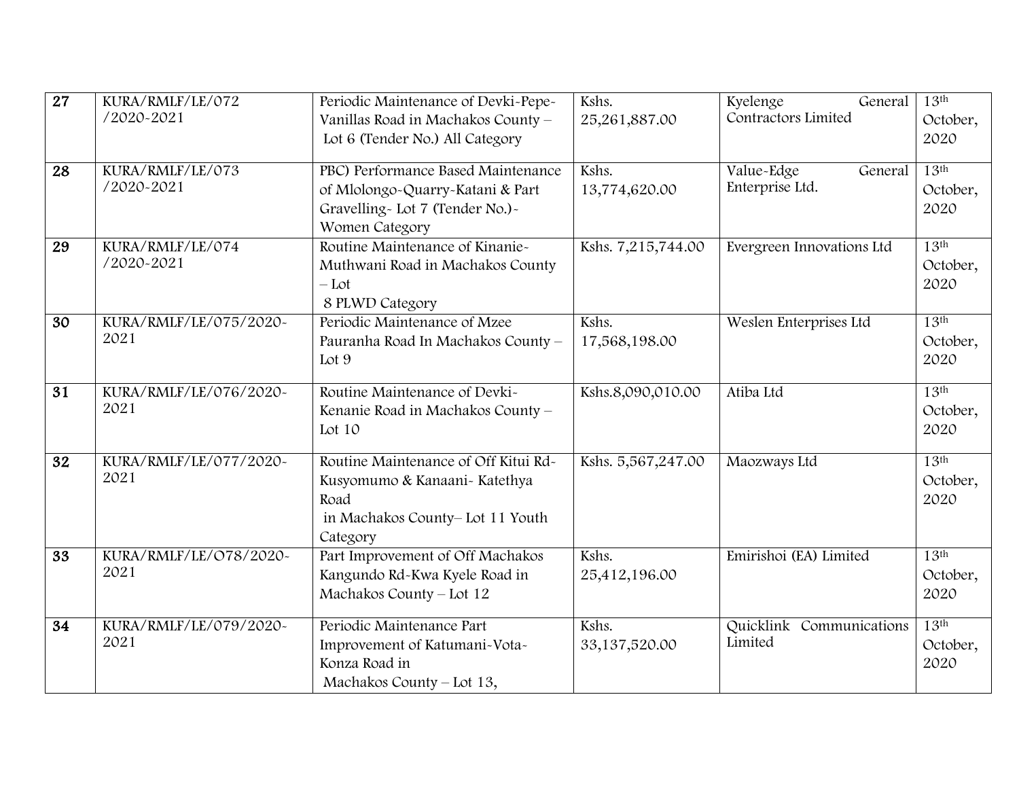| $\overline{27}$ | KURA/RMLF/LE/072<br>/2020-2021 | Periodic Maintenance of Devki-Pepe-<br>Vanillas Road in Machakos County -<br>Lot 6 (Tender No.) All Category                 | Kshs.<br>25,261,887.00 | Kyelenge<br>General<br>Contractors Limited | 13 <sup>th</sup><br>October,<br>2020 |
|-----------------|--------------------------------|------------------------------------------------------------------------------------------------------------------------------|------------------------|--------------------------------------------|--------------------------------------|
| $\overline{28}$ | KURA/RMLF/LE/073<br>/2020-2021 | PBC) Performance Based Maintenance<br>of Mlolongo-Quarry-Katani & Part<br>Gravelling-Lot 7 (Tender No.)-<br>Women Category   | Kshs.<br>13,774,620.00 | Value-Edge<br>General<br>Enterprise Ltd.   | 13 <sup>th</sup><br>October,<br>2020 |
| 29              | KURA/RMLF/LE/074<br>/2020-2021 | Routine Maintenance of Kinanie-<br>Muthwani Road in Machakos County<br>$-Lot$<br>8 PLWD Category                             | Kshs. 7,215,744.00     | Evergreen Innovations Ltd                  | 13 <sup>th</sup><br>October,<br>2020 |
| $\overline{30}$ | KURA/RMLF/LE/075/2020~<br>2021 | Periodic Maintenance of Mzee<br>Pauranha Road In Machakos County -<br>Lot 9                                                  | Kshs.<br>17,568,198.00 | Weslen Enterprises Ltd                     | 13 <sup>th</sup><br>October,<br>2020 |
| $\overline{31}$ | KURA/RMLF/LE/076/2020~<br>2021 | Routine Maintenance of Devki-<br>Kenanie Road in Machakos County -<br>Lot 10                                                 | Kshs.8,090,010.00      | Atiba Ltd                                  | 13 <sup>th</sup><br>October,<br>2020 |
| $\overline{32}$ | KURA/RMLF/LE/077/2020~<br>2021 | Routine Maintenance of Off Kitui Rd-<br>Kusyomumo & Kanaani- Katethya<br>Road<br>in Machakos County-Lot 11 Youth<br>Category | Kshs. 5,567,247.00     | Maozways Ltd                               | 13 <sup>th</sup><br>October,<br>2020 |
| $\overline{33}$ | KURA/RMLF/LE/O78/2020~<br>2021 | Part Improvement of Off Machakos<br>Kangundo Rd-Kwa Kyele Road in<br>Machakos County - Lot 12                                | Kshs.<br>25,412,196.00 | Emirishoi (EA) Limited                     | 13 <sup>th</sup><br>October,<br>2020 |
| 34              | KURA/RMLF/LE/079/2020~<br>2021 | Periodic Maintenance Part<br>Improvement of Katumani-Vota-<br>Konza Road in<br>Machakos County - Lot 13,                     | Kshs.<br>33,137,520.00 | Quicklink Communications<br>Limited        | 13 <sup>th</sup><br>October,<br>2020 |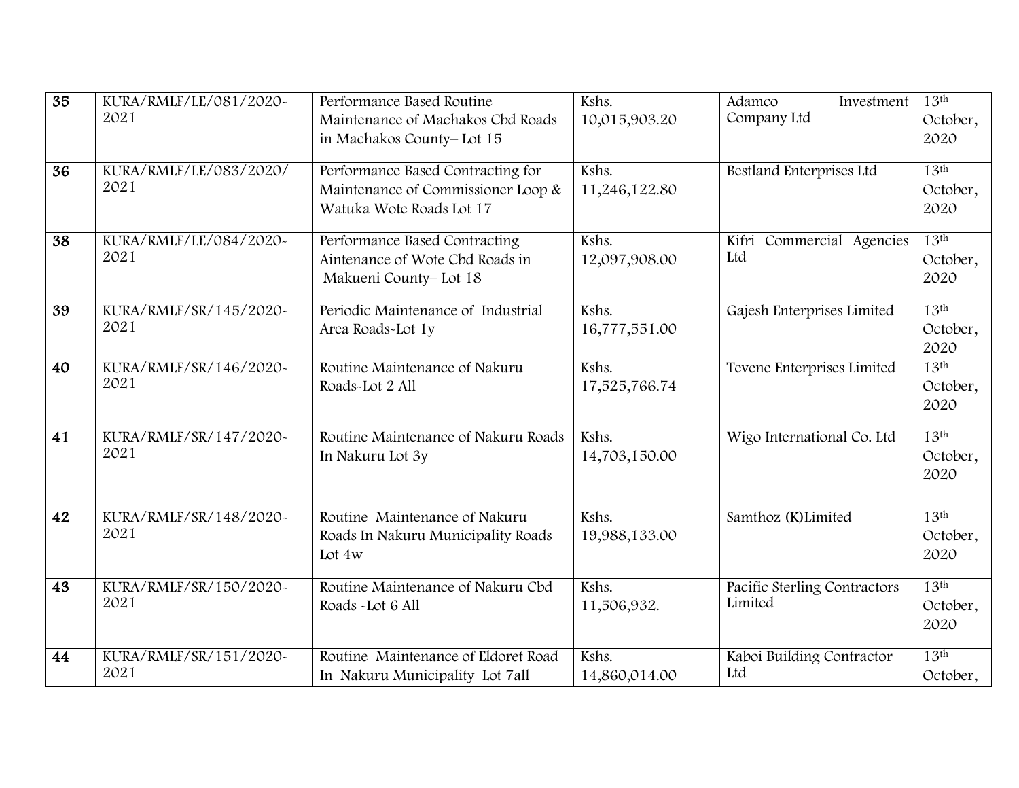| $\overline{35}$ | KURA/RMLF/LE/081/2020~<br>2021 | Performance Based Routine<br>Maintenance of Machakos Cbd Roads<br>in Machakos County-Lot 15         | Kshs.<br>10,015,903.20 | Adamco<br>Investment<br>Company Ltd     | 13 <sup>th</sup><br>October,<br>2020 |
|-----------------|--------------------------------|-----------------------------------------------------------------------------------------------------|------------------------|-----------------------------------------|--------------------------------------|
| 36              | KURA/RMLF/LE/083/2020/<br>2021 | Performance Based Contracting for<br>Maintenance of Commissioner Loop &<br>Watuka Wote Roads Lot 17 | Kshs.<br>11,246,122.80 | Bestland Enterprises Ltd                | 13 <sup>th</sup><br>October,<br>2020 |
| 38              | KURA/RMLF/LE/084/2020~<br>2021 | Performance Based Contracting<br>Aintenance of Wote Cbd Roads in<br>Makueni County-Lot 18           | Kshs.<br>12,097,908.00 | Commercial Agencies<br>Kifri<br>Ltd     | 13 <sup>th</sup><br>October,<br>2020 |
| 39              | KURA/RMLF/SR/145/2020~<br>2021 | Periodic Maintenance of Industrial<br>Area Roads-Lot 1y                                             | Kshs.<br>16,777,551.00 | Gajesh Enterprises Limited              | 13 <sup>th</sup><br>October,<br>2020 |
| 40              | KURA/RMLF/SR/146/2020~<br>2021 | Routine Maintenance of Nakuru<br>Roads-Lot 2 All                                                    | Kshs.<br>17,525,766.74 | Tevene Enterprises Limited              | 13 <sup>th</sup><br>October,<br>2020 |
| 41              | KURA/RMLF/SR/147/2020~<br>2021 | Routine Maintenance of Nakuru Roads<br>In Nakuru Lot 3y                                             | Kshs.<br>14,703,150.00 | Wigo International Co. Ltd              | 13 <sup>th</sup><br>October,<br>2020 |
| 42              | KURA/RMLF/SR/148/2020~<br>2021 | Routine Maintenance of Nakuru<br>Roads In Nakuru Municipality Roads<br>Lot $4w$                     | Kshs.<br>19,988,133.00 | Samthoz (K)Limited                      | 13 <sup>th</sup><br>October,<br>2020 |
| 43              | KURA/RMLF/SR/150/2020~<br>2021 | Routine Maintenance of Nakuru Cbd<br>Roads -Lot 6 All                                               | Kshs.<br>11,506,932.   | Pacific Sterling Contractors<br>Limited | 13 <sup>th</sup><br>October,<br>2020 |
| 44              | KURA/RMLF/SR/151/2020~<br>2021 | Routine Maintenance of Eldoret Road<br>In Nakuru Municipality Lot 7all                              | Kshs.<br>14,860,014.00 | Kaboi Building Contractor<br>Ltd        | 13 <sup>th</sup><br>October,         |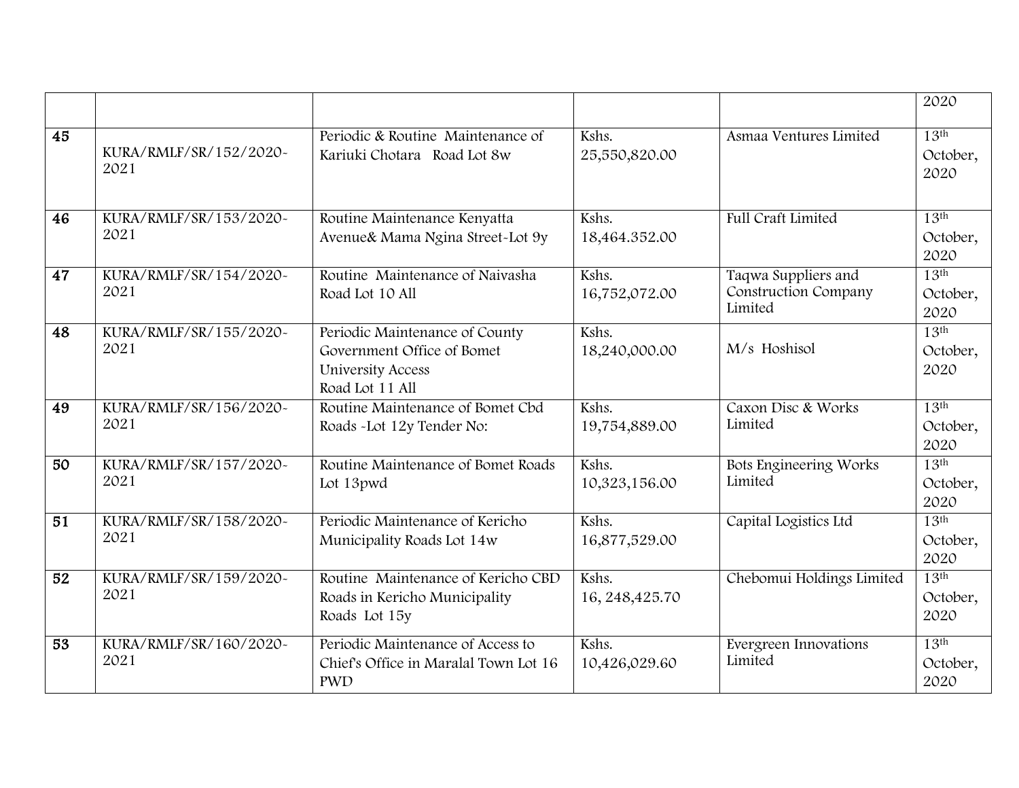|    |                                |                                                                                                             |                          |                                                               | 2020                                 |
|----|--------------------------------|-------------------------------------------------------------------------------------------------------------|--------------------------|---------------------------------------------------------------|--------------------------------------|
| 45 | KURA/RMLF/SR/152/2020~<br>2021 | Periodic & Routine Maintenance of<br>Kariuki Chotara Road Lot 8w                                            | Kshs.<br>25,550,820.00   | Asmaa Ventures Limited                                        | 13 <sup>th</sup><br>October,<br>2020 |
| 46 | KURA/RMLF/SR/153/2020~<br>2021 | Routine Maintenance Kenyatta<br>Avenue & Mama Ngina Street-Lot 9y                                           | Kshs.<br>18,464.352.00   | <b>Full Craft Limited</b>                                     | 13 <sup>th</sup><br>October,<br>2020 |
| 47 | KURA/RMLF/SR/154/2020~<br>2021 | Routine Maintenance of Naivasha<br>Road Lot 10 All                                                          | Kshs.<br>16,752,072.00   | Taqwa Suppliers and<br><b>Construction Company</b><br>Limited | 13 <sup>th</sup><br>October,<br>2020 |
| 48 | KURA/RMLF/SR/155/2020~<br>2021 | Periodic Maintenance of County<br>Government Office of Bomet<br><b>University Access</b><br>Road Lot 11 All | Kshs.<br>18,240,000.00   | M/s Hoshisol                                                  | 13 <sup>th</sup><br>October,<br>2020 |
| 49 | KURA/RMLF/SR/156/2020~<br>2021 | Routine Maintenance of Bomet Cbd<br>Roads -Lot 12y Tender No:                                               | Kshs.<br>19,754,889.00   | Caxon Disc & Works<br>Limited                                 | 13 <sup>th</sup><br>October,<br>2020 |
| 50 | KURA/RMLF/SR/157/2020~<br>2021 | Routine Maintenance of Bomet Roads<br>Lot 13pwd                                                             | Kshs.<br>10,323,156.00   | Bots Engineering Works<br>Limited                             | 13 <sup>th</sup><br>October,<br>2020 |
| 51 | KURA/RMLF/SR/158/2020~<br>2021 | Periodic Maintenance of Kericho<br>Municipality Roads Lot 14w                                               | Kshs.<br>16,877,529.00   | Capital Logistics Ltd                                         | 13 <sup>th</sup><br>October,<br>2020 |
| 52 | KURA/RMLF/SR/159/2020~<br>2021 | Routine Maintenance of Kericho CBD<br>Roads in Kericho Municipality<br>Roads Lot 15y                        | Kshs.<br>16, 248, 425.70 | Chebomui Holdings Limited                                     | 13 <sup>th</sup><br>October,<br>2020 |
| 53 | KURA/RMLF/SR/160/2020~<br>2021 | Periodic Maintenance of Access to<br>Chief's Office in Maralal Town Lot 16<br><b>PWD</b>                    | Kshs.<br>10,426,029.60   | Evergreen Innovations<br>Limited                              | 13 <sup>th</sup><br>October,<br>2020 |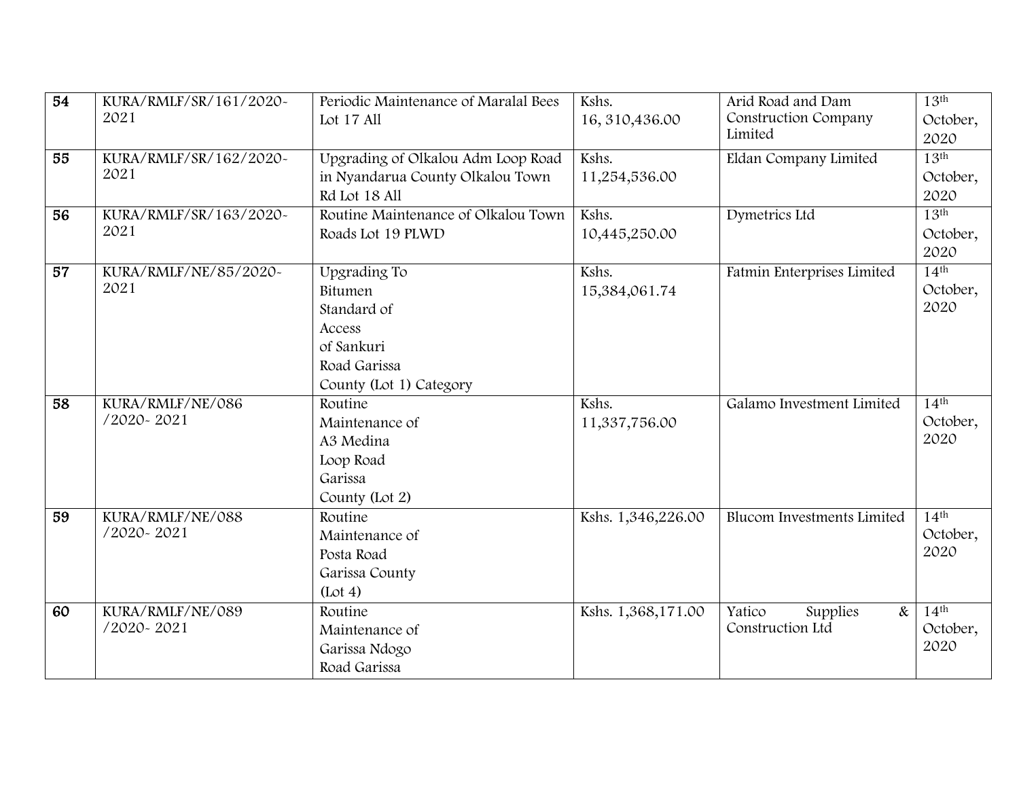| $\overline{54}$ | KURA/RMLF/SR/161/2020~ | Periodic Maintenance of Maralal Bees | Kshs.              | Arid Road and Dam                 | 13 <sup>th</sup> |
|-----------------|------------------------|--------------------------------------|--------------------|-----------------------------------|------------------|
|                 | 2021                   | Lot 17 All                           | 16, 310, 436.00    | Construction Company              | October,         |
|                 |                        |                                      |                    | Limited                           | 2020             |
| 55              | KURA/RMLF/SR/162/2020~ | Upgrading of Olkalou Adm Loop Road   | Kshs.              | Eldan Company Limited             | 13 <sup>th</sup> |
|                 | 2021                   | in Nyandarua County Olkalou Town     | 11,254,536.00      |                                   | October,         |
|                 |                        | Rd Lot 18 All                        |                    |                                   | 2020             |
| $\overline{56}$ | KURA/RMLF/SR/163/2020~ | Routine Maintenance of Olkalou Town  | Kshs.              | Dymetrics Ltd                     | 13 <sup>th</sup> |
|                 | 2021                   | Roads Lot 19 PLWD                    | 10,445,250.00      |                                   | October,         |
|                 |                        |                                      |                    |                                   | 2020             |
| 57              | KURA/RMLF/NE/85/2020~  | Upgrading To                         | Kshs.              | Fatmin Enterprises Limited        | $14^{\text{th}}$ |
|                 | 2021                   | Bitumen                              | 15,384,061.74      |                                   | October,         |
|                 |                        | Standard of                          |                    |                                   | 2020             |
|                 |                        | Access                               |                    |                                   |                  |
|                 |                        | of Sankuri                           |                    |                                   |                  |
|                 |                        | Road Garissa                         |                    |                                   |                  |
|                 |                        | County (Lot 1) Category              |                    |                                   |                  |
| $\overline{58}$ | KURA/RMLF/NE/086       | Routine                              | Kshs.              | Galamo Investment Limited         | 14 <sup>th</sup> |
|                 | /2020-2021             | Maintenance of                       | 11,337,756.00      |                                   | October,         |
|                 |                        | A3 Medina                            |                    |                                   | 2020             |
|                 |                        | Loop Road                            |                    |                                   |                  |
|                 |                        | Garissa                              |                    |                                   |                  |
|                 |                        | County (Lot 2)                       |                    |                                   |                  |
| 59              | KURA/RMLF/NE/088       | Routine                              | Kshs. 1,346,226.00 | <b>Blucom Investments Limited</b> | 14 <sup>th</sup> |
|                 | /2020-2021             | Maintenance of                       |                    |                                   | October,         |
|                 |                        | Posta Road                           |                    |                                   | 2020             |
|                 |                        | Garissa County                       |                    |                                   |                  |
|                 |                        | (Lot 4)                              |                    |                                   |                  |
| 60              | KURA/RMLF/NE/089       | Routine                              | Kshs. 1,368,171.00 | Yatico<br>Supplies<br>$\&$        | 14 <sup>th</sup> |
|                 | /2020-2021             | Maintenance of                       |                    | Construction Ltd                  | October,         |
|                 |                        | Garissa Ndogo                        |                    |                                   | 2020             |
|                 |                        | Road Garissa                         |                    |                                   |                  |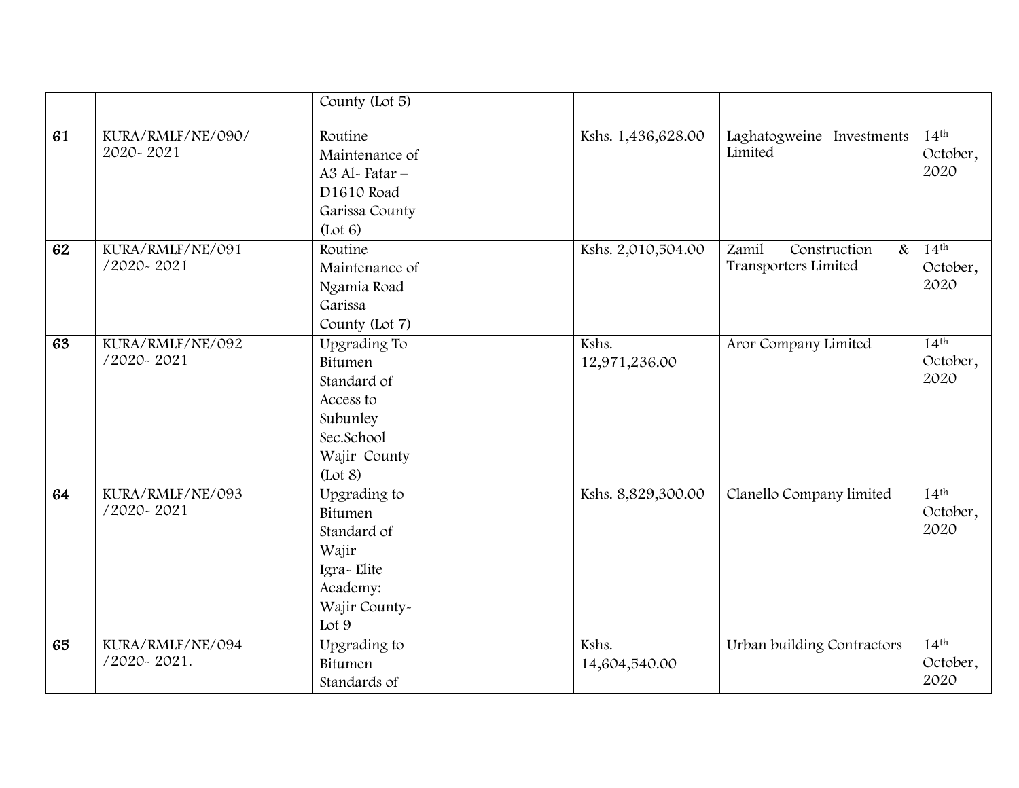|    |                                 | County (Lot 5)                                                                                           |                        |                                                       |                                      |
|----|---------------------------------|----------------------------------------------------------------------------------------------------------|------------------------|-------------------------------------------------------|--------------------------------------|
| 61 | KURA/RMLF/NE/090/<br>2020-2021  | Routine<br>Maintenance of<br>A3 Al-Fatar-<br>D1610 Road<br>Garissa County<br>(Lot 6)                     | Kshs. 1,436,628.00     | Laghatogweine Investments<br>Limited                  | 14 <sup>th</sup><br>October,<br>2020 |
| 62 | KURA/RMLF/NE/091<br>/2020-2021  | Routine<br>Maintenance of<br>Ngamia Road<br>Garissa<br>County (Lot 7)                                    | Kshs. 2,010,504.00     | Zamil<br>Construction<br>$\&$<br>Transporters Limited | 14 <sup>th</sup><br>October,<br>2020 |
| 63 | KURA/RMLF/NE/092<br>/2020-2021  | Upgrading To<br>Bitumen<br>Standard of<br>Access to<br>Subunley<br>Sec.School<br>Wajir County<br>(Lot 8) | Kshs.<br>12,971,236.00 | Aror Company Limited                                  | 14 <sup>th</sup><br>October,<br>2020 |
| 64 | KURA/RMLF/NE/093<br>/2020-2021  | Upgrading to<br>Bitumen<br>Standard of<br>Wajir<br>Igra-Elite<br>Academy:<br>Wajir County-<br>Lot 9      | Kshs. 8,829,300.00     | Clanello Company limited                              | 14 <sup>th</sup><br>October,<br>2020 |
| 65 | KURA/RMLF/NE/094<br>/2020-2021. | Upgrading to<br>Bitumen<br>Standards of                                                                  | Kshs.<br>14,604,540.00 | Urban building Contractors                            | 14 <sup>th</sup><br>October,<br>2020 |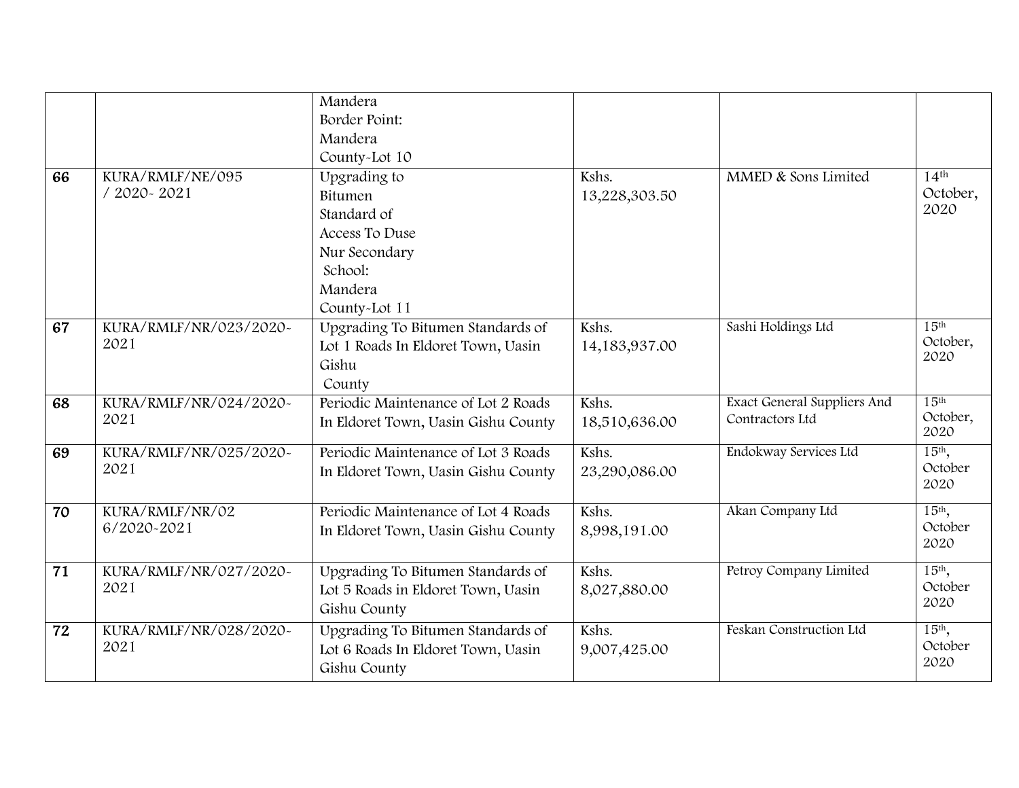|                 |                                | Mandera                             |               |                                    |                     |
|-----------------|--------------------------------|-------------------------------------|---------------|------------------------------------|---------------------|
|                 |                                | Border Point:                       |               |                                    |                     |
|                 |                                | Mandera                             |               |                                    |                     |
|                 |                                | County-Lot 10                       |               |                                    |                     |
| 66              | KURA/RMLF/NE/095               | Upgrading to                        | Kshs.         | MMED & Sons Limited                | 14 <sup>th</sup>    |
|                 | / 2020~2021                    | Bitumen                             | 13,228,303.50 |                                    | October,            |
|                 |                                | Standard of                         |               |                                    | 2020                |
|                 |                                | Access To Duse                      |               |                                    |                     |
|                 |                                | Nur Secondary                       |               |                                    |                     |
|                 |                                | School:                             |               |                                    |                     |
|                 |                                | Mandera                             |               |                                    |                     |
|                 |                                | County-Lot 11                       |               |                                    |                     |
| 67              | KURA/RMLF/NR/023/2020~         | Upgrading To Bitumen Standards of   | Kshs.         | Sashi Holdings Ltd                 | 15 <sup>th</sup>    |
|                 | 2021                           | Lot 1 Roads In Eldoret Town, Uasin  | 14,183,937.00 |                                    | October,            |
|                 |                                | Gishu                               |               |                                    | 2020                |
|                 |                                | County                              |               |                                    |                     |
| 68              | KURA/RMLF/NR/024/2020~         | Periodic Maintenance of Lot 2 Roads | Kshs.         | <b>Exact General Suppliers And</b> | 15 <sup>th</sup>    |
|                 | 2021                           | In Eldoret Town, Uasin Gishu County | 18,510,636.00 | Contractors Ltd                    | October,<br>2020    |
|                 |                                | Periodic Maintenance of Lot 3 Roads | Kshs.         |                                    |                     |
| 69              | KURA/RMLF/NR/025/2020~<br>2021 |                                     |               | Endokway Services Ltd              | $15th$ ,<br>October |
|                 |                                | In Eldoret Town, Uasin Gishu County | 23,290,086.00 |                                    | 2020                |
|                 |                                |                                     |               |                                    |                     |
| 70              | KURA/RMLF/NR/02                | Periodic Maintenance of Lot 4 Roads | Kshs.         | Akan Company Ltd                   | $15th$ ,<br>October |
|                 | 6/2020-2021                    | In Eldoret Town, Uasin Gishu County | 8,998,191.00  |                                    | 2020                |
|                 |                                |                                     |               |                                    |                     |
| $\overline{71}$ | KURA/RMLF/NR/027/2020~         | Upgrading To Bitumen Standards of   | Kshs.         | Petroy Company Limited             | $15th$ ,            |
|                 | 2021                           | Lot 5 Roads in Eldoret Town, Uasin  | 8,027,880.00  |                                    | October<br>2020     |
|                 |                                | Gishu County                        |               |                                    |                     |
| 72              | KURA/RMLF/NR/028/2020~         | Upgrading To Bitumen Standards of   | Kshs.         | Feskan Construction Ltd            | $15th$ ,            |
|                 | 2021                           | Lot 6 Roads In Eldoret Town, Uasin  | 9,007,425.00  |                                    | October             |
|                 |                                | Gishu County                        |               |                                    | 2020                |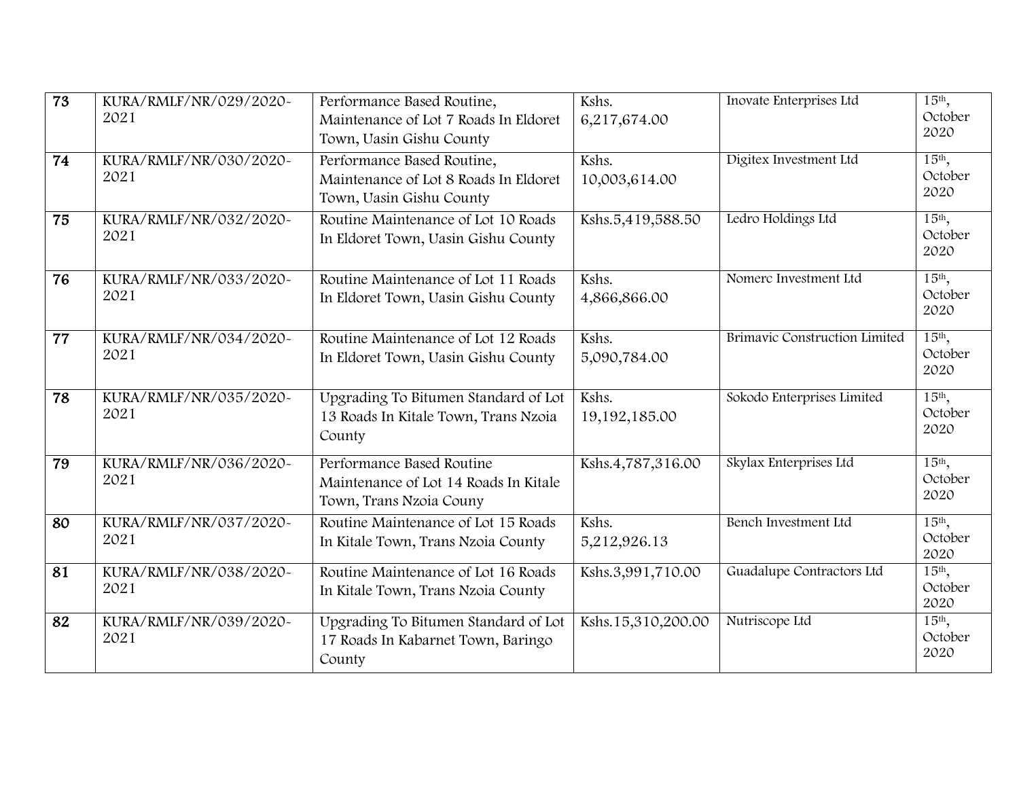| $\overline{73}$ | KURA/RMLF/NR/029/2020~<br>2021 | Performance Based Routine,<br>Maintenance of Lot 7 Roads In Eldoret<br>Town, Uasin Gishu County | Kshs.<br>6,217,674.00  | Inovate Enterprises Ltd       | 15th,<br>October<br>2020              |
|-----------------|--------------------------------|-------------------------------------------------------------------------------------------------|------------------------|-------------------------------|---------------------------------------|
| 74              | KURA/RMLF/NR/030/2020~<br>2021 | Performance Based Routine,<br>Maintenance of Lot 8 Roads In Eldoret<br>Town, Uasin Gishu County | Kshs.<br>10,003,614.00 | Digitex Investment Ltd        | $15th$ ,<br>October<br>2020           |
| 75              | KURA/RMLF/NR/032/2020~<br>2021 | Routine Maintenance of Lot 10 Roads<br>In Eldoret Town, Uasin Gishu County                      | Kshs.5,419,588.50      | Ledro Holdings Ltd            | $15th$ ,<br>October<br>2020           |
| 76              | KURA/RMLF/NR/033/2020~<br>2021 | Routine Maintenance of Lot 11 Roads<br>In Eldoret Town, Uasin Gishu County                      | Kshs.<br>4,866,866.00  | Nomerc Investment Ltd         | 15th,<br>October<br>2020              |
| 77              | KURA/RMLF/NR/034/2020~<br>2021 | Routine Maintenance of Lot 12 Roads<br>In Eldoret Town, Uasin Gishu County                      | Kshs.<br>5,090,784.00  | Brimavic Construction Limited | 15th,<br>October<br>2020              |
| 78              | KURA/RMLF/NR/035/2020~<br>2021 | Upgrading To Bitumen Standard of Lot<br>13 Roads In Kitale Town, Trans Nzoia<br>County          | Kshs.<br>19,192,185.00 | Sokodo Enterprises Limited    | 15 <sup>th</sup> ,<br>October<br>2020 |
| 79              | KURA/RMLF/NR/036/2020~<br>2021 | Performance Based Routine<br>Maintenance of Lot 14 Roads In Kitale<br>Town, Trans Nzoia Couny   | Kshs.4,787,316.00      | Skylax Enterprises Ltd        | 15th,<br>October<br>2020              |
| 80              | KURA/RMLF/NR/037/2020~<br>2021 | Routine Maintenance of Lot 15 Roads<br>In Kitale Town, Trans Nzoia County                       | Kshs.<br>5,212,926.13  | Bench Investment Ltd          | 15th,<br>October<br>2020              |
| 81              | KURA/RMLF/NR/038/2020~<br>2021 | Routine Maintenance of Lot 16 Roads<br>In Kitale Town, Trans Nzoia County                       | Kshs.3,991,710.00      | Guadalupe Contractors Ltd     | $15th$ ,<br>October<br>2020           |
| 82              | KURA/RMLF/NR/039/2020~<br>2021 | Upgrading To Bitumen Standard of Lot<br>17 Roads In Kabarnet Town, Baringo<br>County            | Kshs.15,310,200.00     | Nutriscope Ltd                | $15th$ ,<br>October<br>2020           |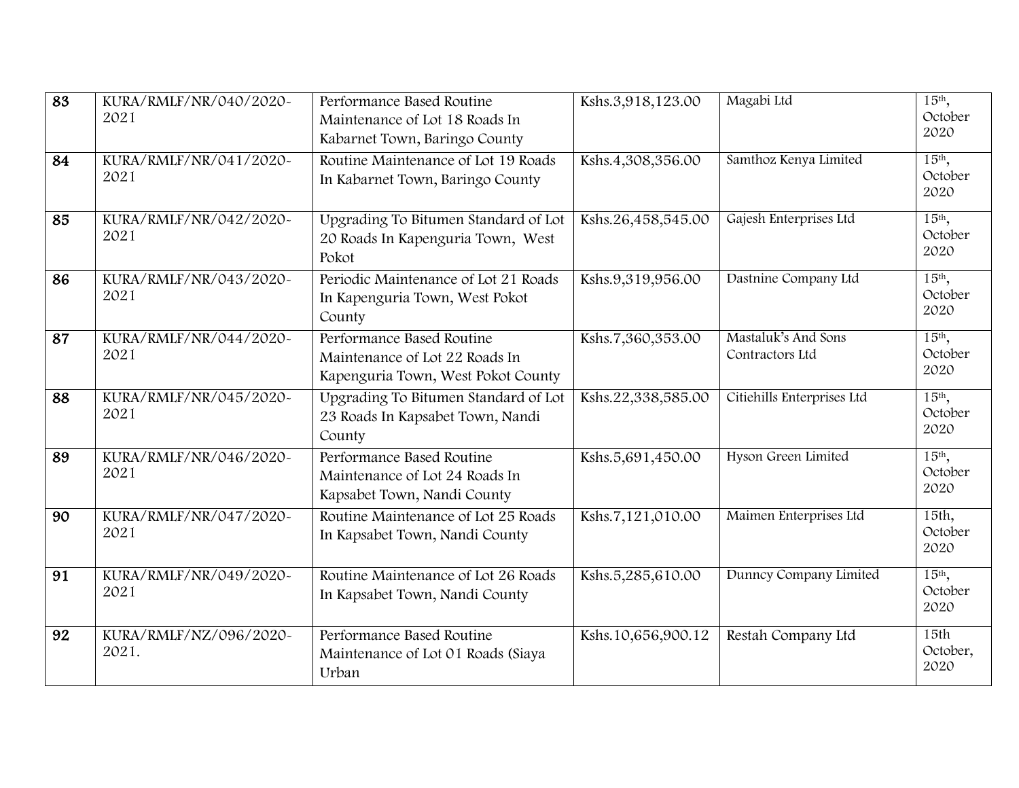| $\overline{83}$ | KURA/RMLF/NR/040/2020~<br>2021  | Performance Based Routine<br>Maintenance of Lot 18 Roads In<br>Kabarnet Town, Baringo County      | Kshs.3,918,123.00  | Magabi Ltd                             | 15th,<br>October<br>2020              |
|-----------------|---------------------------------|---------------------------------------------------------------------------------------------------|--------------------|----------------------------------------|---------------------------------------|
| 84              | KURA/RMLF/NR/041/2020~<br>2021  | Routine Maintenance of Lot 19 Roads<br>In Kabarnet Town, Baringo County                           | Kshs.4,308,356.00  | Samthoz Kenya Limited                  | $15th$ ,<br>October<br>2020           |
| 85              | KURA/RMLF/NR/042/2020~<br>2021  | Upgrading To Bitumen Standard of Lot<br>20 Roads In Kapenguria Town, West<br>Pokot                | Kshs.26,458,545.00 | Gajesh Enterprises Ltd                 | 15 <sup>th</sup> ,<br>October<br>2020 |
| 86              | KURA/RMLF/NR/043/2020~<br>2021  | Periodic Maintenance of Lot 21 Roads<br>In Kapenguria Town, West Pokot<br>County                  | Kshs.9,319,956.00  | Dastnine Company Ltd                   | $15th$ ,<br>October<br>2020           |
| 87              | KURA/RMLF/NR/044/2020~<br>2021  | Performance Based Routine<br>Maintenance of Lot 22 Roads In<br>Kapenguria Town, West Pokot County | Kshs.7,360,353.00  | Mastaluk's And Sons<br>Contractors Ltd | 15th,<br>October<br>2020              |
| 88              | KURA/RMLF/NR/045/2020~<br>2021  | Upgrading To Bitumen Standard of Lot<br>23 Roads In Kapsabet Town, Nandi<br>County                | Kshs.22,338,585.00 | Citiehills Enterprises Ltd             | $15th$ ,<br>October<br>2020           |
| 89              | KURA/RMLF/NR/046/2020~<br>2021  | Performance Based Routine<br>Maintenance of Lot 24 Roads In<br>Kapsabet Town, Nandi County        | Kshs.5,691,450.00  | Hyson Green Limited                    | $15th$ ,<br>October<br>2020           |
| 90              | KURA/RMLF/NR/047/2020~<br>2021  | Routine Maintenance of Lot 25 Roads<br>In Kapsabet Town, Nandi County                             | Kshs.7,121,010.00  | Maimen Enterprises Ltd                 | 15th,<br>October<br>2020              |
| 91              | KURA/RMLF/NR/049/2020~<br>2021  | Routine Maintenance of Lot 26 Roads<br>In Kapsabet Town, Nandi County                             | Kshs.5,285,610.00  | Dunncy Company Limited                 | 15 <sup>th</sup> ,<br>October<br>2020 |
| 92              | KURA/RMLF/NZ/096/2020~<br>2021. | Performance Based Routine<br>Maintenance of Lot 01 Roads (Siaya<br>Urban                          | Kshs.10,656,900.12 | Restah Company Ltd                     | 15th<br>October,<br>2020              |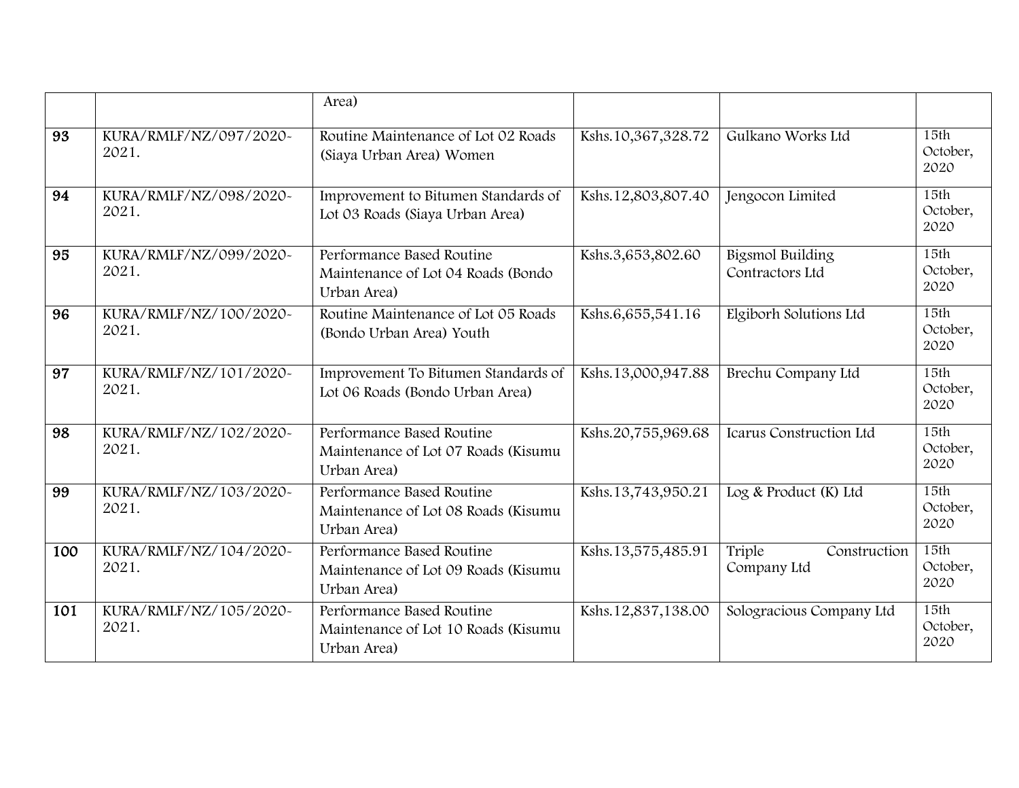|                 |                                 | Area)                                                                           |                    |                                            |                          |
|-----------------|---------------------------------|---------------------------------------------------------------------------------|--------------------|--------------------------------------------|--------------------------|
| 93              | KURA/RMLF/NZ/097/2020~<br>2021. | Routine Maintenance of Lot 02 Roads<br>(Siaya Urban Area) Women                 | Kshs.10,367,328.72 | Gulkano Works Ltd                          | 15th<br>October,<br>2020 |
| 94              | KURA/RMLF/NZ/098/2020~<br>2021. | Improvement to Bitumen Standards of<br>Lot 03 Roads (Siaya Urban Area)          | Kshs.12,803,807.40 | Jengocon Limited                           | 15th<br>October,<br>2020 |
| 95              | KURA/RMLF/NZ/099/2020-<br>2021. | Performance Based Routine<br>Maintenance of Lot 04 Roads (Bondo<br>Urban Area)  | Kshs.3,653,802.60  | <b>Bigsmol Building</b><br>Contractors Ltd | 15th<br>October,<br>2020 |
| 96              | KURA/RMLF/NZ/100/2020~<br>2021. | Routine Maintenance of Lot 05 Roads<br>(Bondo Urban Area) Youth                 | Kshs.6,655,541.16  | Elgiborh Solutions Ltd                     | 15th<br>October,<br>2020 |
| 97              | KURA/RMLF/NZ/101/2020~<br>2021. | Improvement To Bitumen Standards of<br>Lot 06 Roads (Bondo Urban Area)          | Kshs.13,000,947.88 | Brechu Company Ltd                         | 15th<br>October,<br>2020 |
| $\overline{98}$ | KURA/RMLF/NZ/102/2020~<br>2021. | Performance Based Routine<br>Maintenance of Lot 07 Roads (Kisumu<br>Urban Area) | Kshs.20,755,969.68 | Icarus Construction Ltd                    | 15th<br>October,<br>2020 |
| 99              | KURA/RMLF/NZ/103/2020~<br>2021. | Performance Based Routine<br>Maintenance of Lot 08 Roads (Kisumu<br>Urban Area) | Kshs.13,743,950.21 | Log & Product (K) Ltd                      | 15th<br>October,<br>2020 |
| 100             | KURA/RMLF/NZ/104/2020~<br>2021. | Performance Based Routine<br>Maintenance of Lot 09 Roads (Kisumu<br>Urban Area) | Kshs.13,575,485.91 | Triple<br>Construction<br>Company Ltd      | 15th<br>October,<br>2020 |
| 101             | KURA/RMLF/NZ/105/2020~<br>2021. | Performance Based Routine<br>Maintenance of Lot 10 Roads (Kisumu<br>Urban Area) | Kshs.12,837,138.00 | Sologracious Company Ltd                   | 15th<br>October,<br>2020 |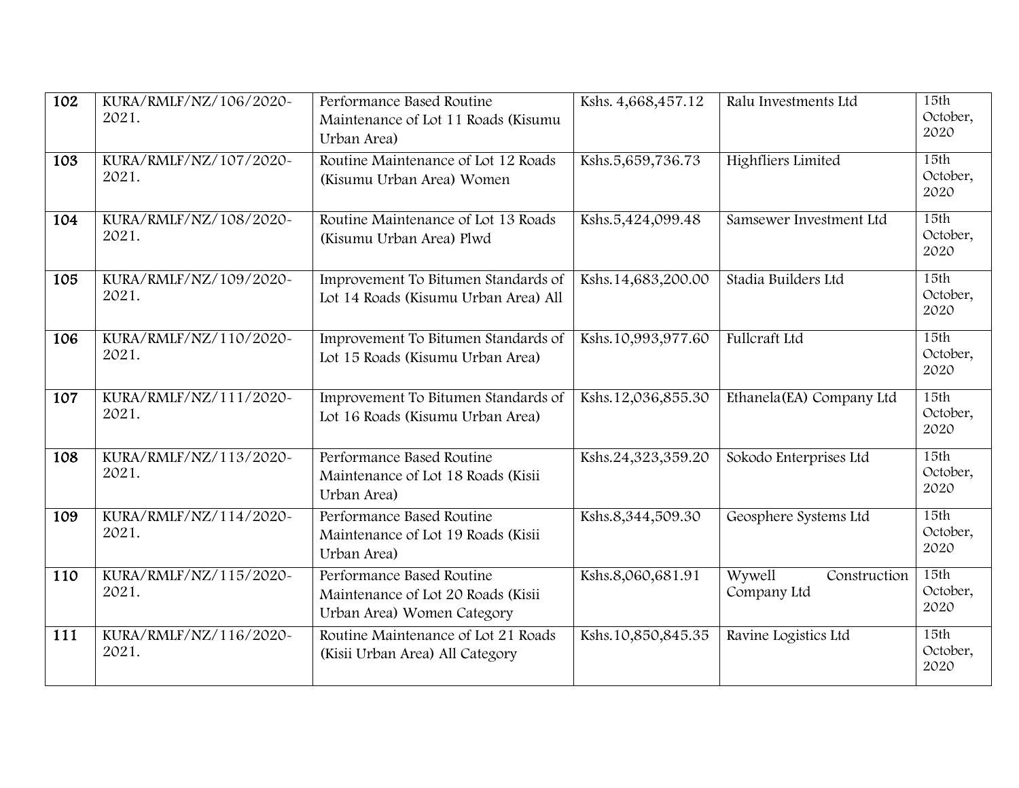| 102 | KURA/RMLF/NZ/106/2020~<br>2021. | Performance Based Routine<br>Maintenance of Lot 11 Roads (Kisumu<br>Urban Area)               | Kshs. 4,668,457.12 | Ralu Investments Ltd                  | 15th<br>October,<br>2020 |
|-----|---------------------------------|-----------------------------------------------------------------------------------------------|--------------------|---------------------------------------|--------------------------|
| 103 | KURA/RMLF/NZ/107/2020~<br>2021. | Routine Maintenance of Lot 12 Roads<br>(Kisumu Urban Area) Women                              | Kshs.5,659,736.73  | <b>Highfliers Limited</b>             | 15th<br>October,<br>2020 |
| 104 | KURA/RMLF/NZ/108/2020~<br>2021. | Routine Maintenance of Lot 13 Roads<br>(Kisumu Urban Area) Plwd                               | Kshs.5,424,099.48  | Samsewer Investment Ltd               | 15th<br>October,<br>2020 |
| 105 | KURA/RMLF/NZ/109/2020~<br>2021. | Improvement To Bitumen Standards of<br>Lot 14 Roads (Kisumu Urban Area) All                   | Kshs.14,683,200.00 | Stadia Builders Ltd                   | 15th<br>October,<br>2020 |
| 106 | KURA/RMLF/NZ/110/2020~<br>2021. | Improvement To Bitumen Standards of<br>Lot 15 Roads (Kisumu Urban Area)                       | Kshs.10,993,977.60 | Fullcraft Ltd                         | 15th<br>October,<br>2020 |
| 107 | KURA/RMLF/NZ/111/2020~<br>2021. | Improvement To Bitumen Standards of<br>Lot 16 Roads (Kisumu Urban Area)                       | Kshs.12,036,855.30 | Ethanela(EA) Company Ltd              | 15th<br>October,<br>2020 |
| 108 | KURA/RMLF/NZ/113/2020~<br>2021. | Performance Based Routine<br>Maintenance of Lot 18 Roads (Kisii<br>Urban Area)                | Kshs.24,323,359.20 | Sokodo Enterprises Ltd                | 15th<br>October,<br>2020 |
| 109 | KURA/RMLF/NZ/114/2020~<br>2021. | Performance Based Routine<br>Maintenance of Lot 19 Roads (Kisii<br>Urban Area)                | Kshs.8,344,509.30  | Geosphere Systems Ltd                 | 15th<br>October,<br>2020 |
| 110 | KURA/RMLF/NZ/115/2020~<br>2021. | Performance Based Routine<br>Maintenance of Lot 20 Roads (Kisii<br>Urban Area) Women Category | Kshs.8,060,681.91  | Wywell<br>Construction<br>Company Ltd | 15th<br>October,<br>2020 |
| 111 | KURA/RMLF/NZ/116/2020~<br>2021. | Routine Maintenance of Lot 21 Roads<br>(Kisii Urban Area) All Category                        | Kshs.10,850,845.35 | Ravine Logistics Ltd                  | 15th<br>October,<br>2020 |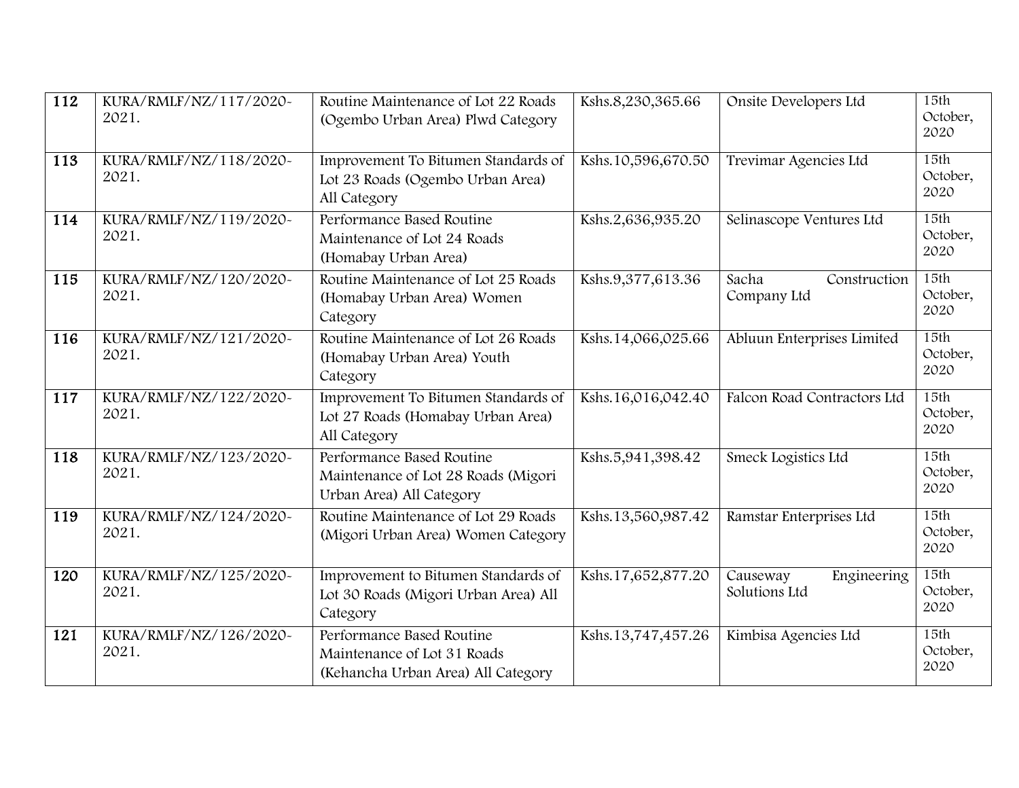| 112 | KURA/RMLF/NZ/117/2020~<br>2021. | Routine Maintenance of Lot 22 Roads<br>(Ogembo Urban Area) Plwd Category                       | Kshs.8,230,365.66  | Onsite Developers Ltd                    | 15th<br>October,<br>2020 |
|-----|---------------------------------|------------------------------------------------------------------------------------------------|--------------------|------------------------------------------|--------------------------|
| 113 | KURA/RMLF/NZ/118/2020~<br>2021. | Improvement To Bitumen Standards of<br>Lot 23 Roads (Ogembo Urban Area)<br>All Category        | Kshs.10,596,670.50 | Trevimar Agencies Ltd                    | 15th<br>October,<br>2020 |
| 114 | KURA/RMLF/NZ/119/2020~<br>2021. | Performance Based Routine<br>Maintenance of Lot 24 Roads<br>(Homabay Urban Area)               | Kshs.2,636,935.20  | Selinascope Ventures Ltd                 | 15th<br>October,<br>2020 |
| 115 | KURA/RMLF/NZ/120/2020~<br>2021. | Routine Maintenance of Lot 25 Roads<br>(Homabay Urban Area) Women<br>Category                  | Kshs.9,377,613.36  | Sacha<br>Construction<br>Company Ltd     | 15th<br>October,<br>2020 |
| 116 | KURA/RMLF/NZ/121/2020~<br>2021. | Routine Maintenance of Lot 26 Roads<br>(Homabay Urban Area) Youth<br>Category                  | Kshs.14,066,025.66 | Abluun Enterprises Limited               | 15th<br>October,<br>2020 |
| 117 | KURA/RMLF/NZ/122/2020~<br>2021. | Improvement To Bitumen Standards of<br>Lot 27 Roads (Homabay Urban Area)<br>All Category       | Kshs.16,016,042.40 | Falcon Road Contractors Ltd              | 15th<br>October,<br>2020 |
| 118 | KURA/RMLF/NZ/123/2020~<br>2021. | Performance Based Routine<br>Maintenance of Lot 28 Roads (Migori<br>Urban Area) All Category   | Kshs.5,941,398.42  | Smeck Logistics Ltd                      | 15th<br>October,<br>2020 |
| 119 | KURA/RMLF/NZ/124/2020~<br>2021. | Routine Maintenance of Lot 29 Roads<br>(Migori Urban Area) Women Category                      | Kshs.13,560,987.42 | Ramstar Enterprises Ltd                  | 15th<br>October,<br>2020 |
| 120 | KURA/RMLF/NZ/125/2020~<br>2021. | Improvement to Bitumen Standards of<br>Lot 30 Roads (Migori Urban Area) All<br>Category        | Kshs.17,652,877.20 | Engineering<br>Causeway<br>Solutions Ltd | 15th<br>October,<br>2020 |
| 121 | KURA/RMLF/NZ/126/2020~<br>2021. | Performance Based Routine<br>Maintenance of Lot 31 Roads<br>(Kehancha Urban Area) All Category | Kshs.13,747,457.26 | Kimbisa Agencies Ltd                     | 15th<br>October,<br>2020 |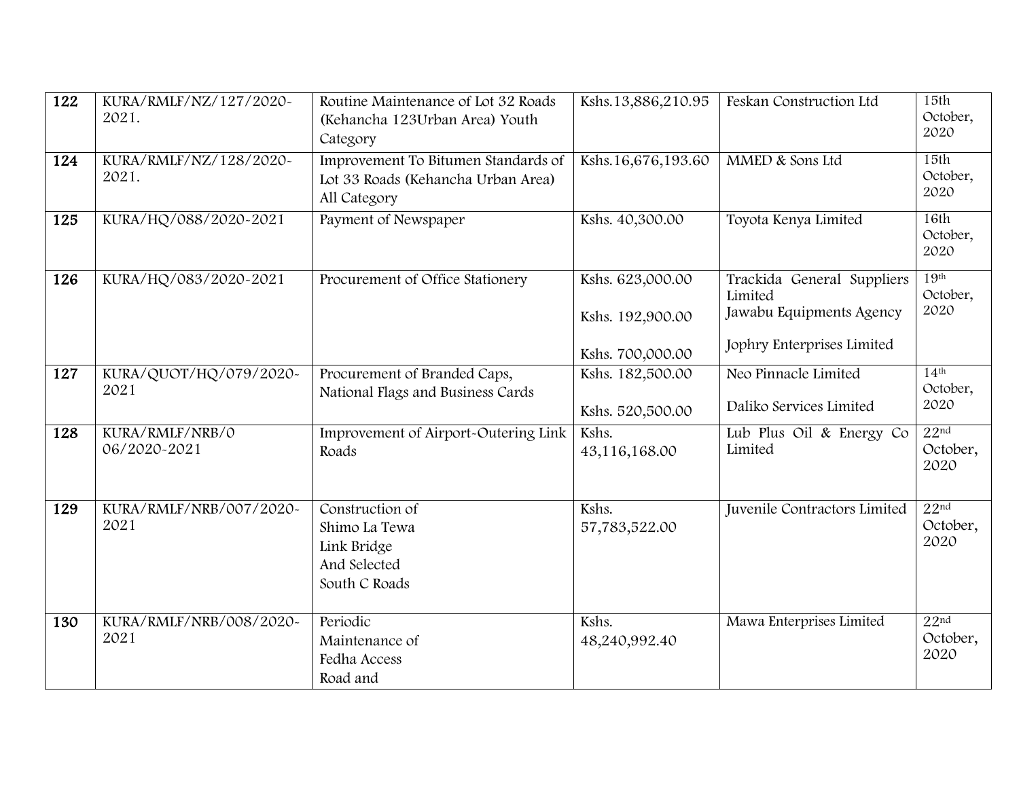| 122 | KURA/RMLF/NZ/127/2020~<br>2021. | Routine Maintenance of Lot 32 Roads<br>(Kehancha 123Urban Area) Youth<br>Category         | Kshs.13,886,210.95                                       | Feskan Construction Ltd                                                                         | 15th<br>October,<br>2020             |
|-----|---------------------------------|-------------------------------------------------------------------------------------------|----------------------------------------------------------|-------------------------------------------------------------------------------------------------|--------------------------------------|
| 124 | KURA/RMLF/NZ/128/2020~<br>2021. | Improvement To Bitumen Standards of<br>Lot 33 Roads (Kehancha Urban Area)<br>All Category | Kshs.16,676,193.60                                       | MMED & Sons Ltd                                                                                 | 15th<br>October,<br>2020             |
| 125 | KURA/HQ/088/2020-2021           | Payment of Newspaper                                                                      | Kshs. 40,300.00                                          | Toyota Kenya Limited                                                                            | 16th<br>October,<br>2020             |
| 126 | KURA/HQ/083/2020-2021           | Procurement of Office Stationery                                                          | Kshs. 623,000.00<br>Kshs. 192,900.00<br>Kshs. 700,000.00 | Trackida General Suppliers<br>Limited<br>Jawabu Equipments Agency<br>Jophry Enterprises Limited | 19 <sup>th</sup><br>October,<br>2020 |
| 127 | KURA/QUOT/HQ/079/2020~<br>2021  | Procurement of Branded Caps,<br>National Flags and Business Cards                         | Kshs. 182,500.00<br>Kshs. 520,500.00                     | Neo Pinnacle Limited<br>Daliko Services Limited                                                 | 14 <sup>th</sup><br>October,<br>2020 |
| 128 | KURA/RMLF/NRB/0<br>06/2020-2021 | Improvement of Airport-Outering Link<br>Roads                                             | Kshs.<br>43,116,168.00                                   | Lub Plus Oil & Energy Co<br>Limited                                                             | 22 <sup>nd</sup><br>October,<br>2020 |
| 129 | KURA/RMLF/NRB/007/2020~<br>2021 | Construction of<br>Shimo La Tewa<br>Link Bridge<br>And Selected<br>South C Roads          | Kshs.<br>57,783,522.00                                   | Juvenile Contractors Limited                                                                    | 22 <sup>nd</sup><br>October,<br>2020 |
| 130 | KURA/RMLF/NRB/008/2020~<br>2021 | Periodic<br>Maintenance of<br>Fedha Access<br>Road and                                    | Kshs.<br>48,240,992.40                                   | Mawa Enterprises Limited                                                                        | 22 <sup>nd</sup><br>October,<br>2020 |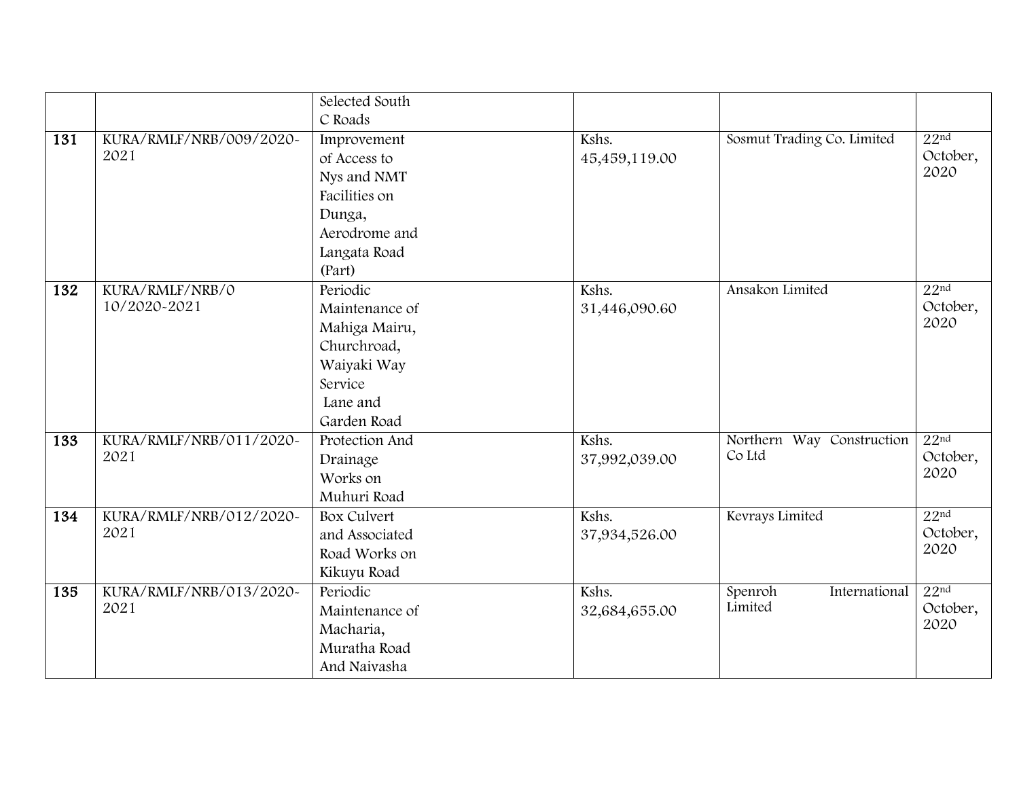|     |                         | Selected South     |               |                            |                  |
|-----|-------------------------|--------------------|---------------|----------------------------|------------------|
|     |                         | C Roads            |               |                            |                  |
| 131 | KURA/RMLF/NRB/009/2020~ | Improvement        | Kshs.         | Sosmut Trading Co. Limited | 22 <sup>nd</sup> |
|     | 2021                    | of Access to       | 45,459,119.00 |                            | October,         |
|     |                         | Nys and NMT        |               |                            | 2020             |
|     |                         | Facilities on      |               |                            |                  |
|     |                         | Dunga,             |               |                            |                  |
|     |                         | Aerodrome and      |               |                            |                  |
|     |                         | Langata Road       |               |                            |                  |
|     |                         | (Part)             |               |                            |                  |
| 132 | KURA/RMLF/NRB/0         | Periodic           | Kshs.         | Ansakon Limited            | 22 <sup>nd</sup> |
|     | 10/2020-2021            | Maintenance of     | 31,446,090.60 |                            | October,         |
|     |                         | Mahiga Mairu,      |               |                            | 2020             |
|     |                         | Churchroad,        |               |                            |                  |
|     |                         | Waiyaki Way        |               |                            |                  |
|     |                         | Service            |               |                            |                  |
|     |                         | Lane and           |               |                            |                  |
|     |                         | Garden Road        |               |                            |                  |
| 133 | KURA/RMLF/NRB/011/2020~ | Protection And     | Kshs.         | Northern Way Construction  | 22 <sup>nd</sup> |
|     | 2021                    | Drainage           | 37,992,039.00 | Co Ltd                     | October,         |
|     |                         | Works on           |               |                            | 2020             |
|     |                         | Muhuri Road        |               |                            |                  |
| 134 | KURA/RMLF/NRB/012/2020~ | <b>Box Culvert</b> | Kshs.         | Kevrays Limited            | 22 <sup>nd</sup> |
|     | 2021                    | and Associated     | 37,934,526.00 |                            | October,         |
|     |                         | Road Works on      |               |                            | 2020             |
|     |                         | Kikuyu Road        |               |                            |                  |
| 135 | KURA/RMLF/NRB/013/2020~ | Periodic           | Kshs.         | Spenroh<br>International   | 22 <sup>nd</sup> |
|     | 2021                    | Maintenance of     | 32,684,655.00 | Limited                    | October,         |
|     |                         | Macharia,          |               |                            | 2020             |
|     |                         | Muratha Road       |               |                            |                  |
|     |                         | And Naivasha       |               |                            |                  |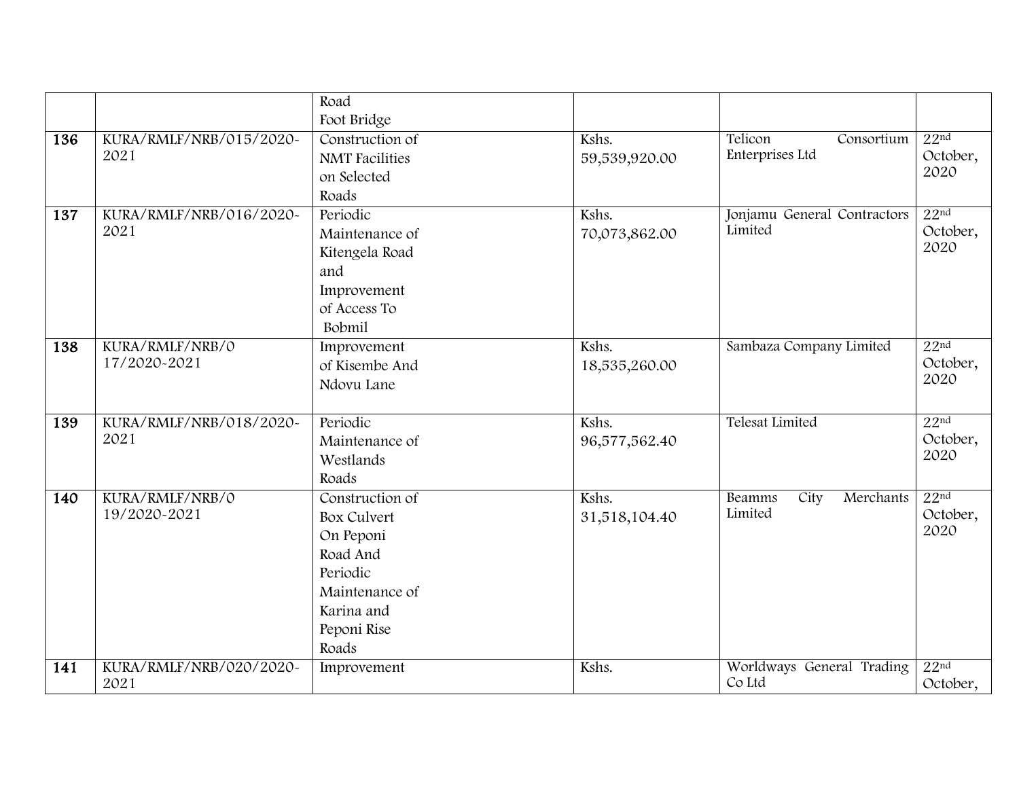|     |                         | Road                  |               |                                    |                  |
|-----|-------------------------|-----------------------|---------------|------------------------------------|------------------|
|     |                         | Foot Bridge           |               |                                    |                  |
| 136 | KURA/RMLF/NRB/015/2020~ | Construction of       | Kshs.         | Telicon<br>Consortium              | 22 <sup>nd</sup> |
|     | 2021                    | <b>NMT</b> Facilities | 59,539,920.00 | Enterprises Ltd                    | October,         |
|     |                         | on Selected           |               |                                    | 2020             |
|     |                         | Roads                 |               |                                    |                  |
| 137 | KURA/RMLF/NRB/016/2020~ | Periodic              | Kshs.         | Jonjamu General Contractors        | 22 <sup>nd</sup> |
|     | 2021                    | Maintenance of        | 70,073,862.00 | Limited                            | October,         |
|     |                         | Kitengela Road        |               |                                    | 2020             |
|     |                         | and                   |               |                                    |                  |
|     |                         | Improvement           |               |                                    |                  |
|     |                         | of Access To          |               |                                    |                  |
|     |                         | Bobmil                |               |                                    |                  |
| 138 | KURA/RMLF/NRB/0         | Improvement           | Kshs.         | Sambaza Company Limited            | 22 <sup>nd</sup> |
|     | 17/2020-2021            | of Kisembe And        | 18,535,260.00 |                                    | October,         |
|     |                         | Ndovu Lane            |               |                                    | 2020             |
|     |                         |                       |               |                                    |                  |
| 139 | KURA/RMLF/NRB/018/2020~ | Periodic              | Kshs.         | <b>Telesat Limited</b>             | 22 <sup>nd</sup> |
|     | 2021                    | Maintenance of        | 96,577,562.40 |                                    | October,         |
|     |                         | Westlands             |               |                                    | 2020             |
|     |                         | Roads                 |               |                                    |                  |
| 140 | KURA/RMLF/NRB/0         | Construction of       | Kshs.         | City<br>Merchants<br><b>Beamms</b> | 22 <sup>nd</sup> |
|     | 19/2020-2021            | <b>Box Culvert</b>    | 31,518,104.40 | Limited                            | October,         |
|     |                         | On Peponi             |               |                                    | 2020             |
|     |                         | Road And              |               |                                    |                  |
|     |                         | Periodic              |               |                                    |                  |
|     |                         | Maintenance of        |               |                                    |                  |
|     |                         | Karina and            |               |                                    |                  |
|     |                         | Peponi Rise           |               |                                    |                  |
|     |                         | Roads                 |               |                                    |                  |
| 141 | KURA/RMLF/NRB/020/2020~ | Improvement           | Kshs.         | Worldways General Trading          | 22 <sup>nd</sup> |
|     | 2021                    |                       |               | Co Ltd                             | October,         |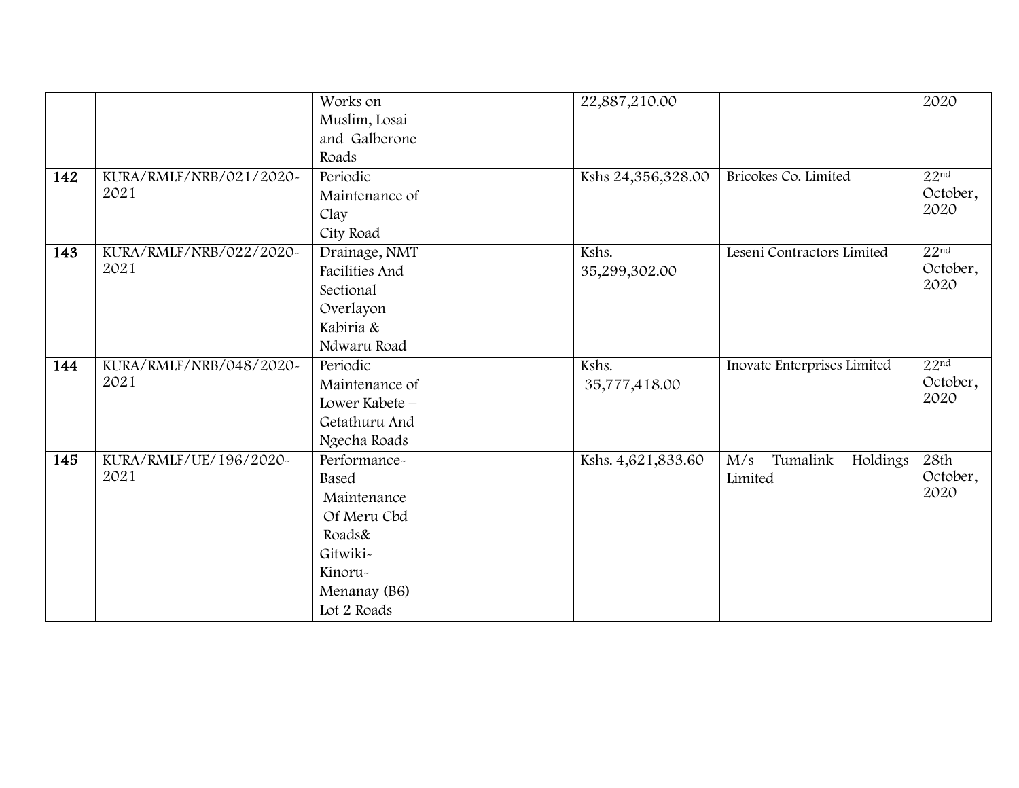|     |                         | Works on       | 22,887,210.00      |                             | 2020             |
|-----|-------------------------|----------------|--------------------|-----------------------------|------------------|
|     |                         | Muslim, Losai  |                    |                             |                  |
|     |                         | and Galberone  |                    |                             |                  |
|     |                         | Roads          |                    |                             |                  |
| 142 | KURA/RMLF/NRB/021/2020~ | Periodic       | Kshs 24,356,328.00 | Bricokes Co. Limited        | 22 <sup>nd</sup> |
|     | 2021                    | Maintenance of |                    |                             | October,         |
|     |                         | Clay           |                    |                             | 2020             |
|     |                         | City Road      |                    |                             |                  |
| 143 | KURA/RMLF/NRB/022/2020~ | Drainage, NMT  | Kshs.              | Leseni Contractors Limited  | 22 <sup>nd</sup> |
|     | 2021                    | Facilities And | 35,299,302.00      |                             | October,         |
|     |                         | Sectional      |                    |                             | 2020             |
|     |                         | Overlayon      |                    |                             |                  |
|     |                         | Kabiria &      |                    |                             |                  |
|     |                         | Ndwaru Road    |                    |                             |                  |
| 144 | KURA/RMLF/NRB/048/2020~ | Periodic       | Kshs.              | Inovate Enterprises Limited | 22 <sup>nd</sup> |
|     | 2021                    | Maintenance of | 35,777,418.00      |                             | October,         |
|     |                         | Lower Kabete - |                    |                             | 2020             |
|     |                         | Getathuru And  |                    |                             |                  |
|     |                         | Ngecha Roads   |                    |                             |                  |
| 145 | KURA/RMLF/UE/196/2020~  | Performance-   | Kshs. 4,621,833.60 | Tumalink<br>Holdings<br>M/s | 28th             |
|     | 2021                    | Based          |                    | Limited                     | October,         |
|     |                         | Maintenance    |                    |                             | 2020             |
|     |                         | Of Meru Cbd    |                    |                             |                  |
|     |                         | Roads&         |                    |                             |                  |
|     |                         | Gitwiki-       |                    |                             |                  |
|     |                         | Kinoru-        |                    |                             |                  |
|     |                         | Menanay (B6)   |                    |                             |                  |
|     |                         | Lot 2 Roads    |                    |                             |                  |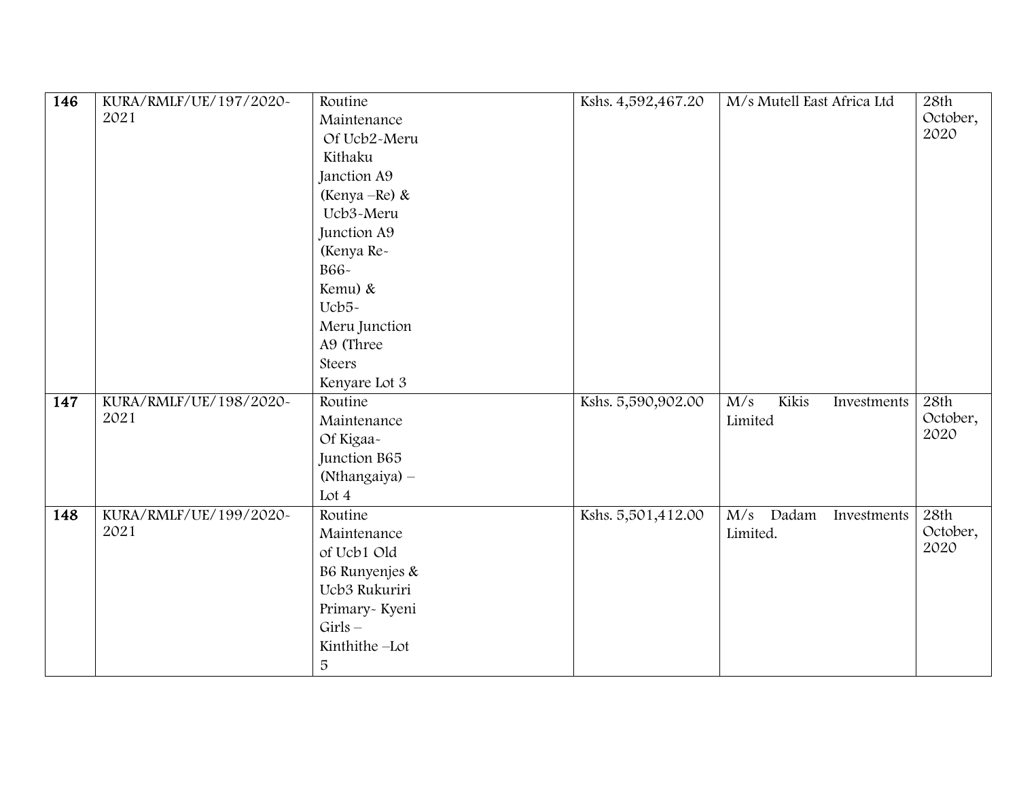| 146              | KURA/RMLF/UE/197/2020~ | Routine        | Kshs. 4,592,467.20 | M/s Mutell East Africa Ltd               | 28th     |
|------------------|------------------------|----------------|--------------------|------------------------------------------|----------|
|                  | 2021                   | Maintenance    |                    |                                          | October, |
|                  |                        | Of Ucb2-Meru   |                    |                                          | 2020     |
|                  |                        | Kithaku        |                    |                                          |          |
|                  |                        | Janction A9    |                    |                                          |          |
|                  |                        | (Kenya – Re) & |                    |                                          |          |
|                  |                        | Ucb3-Meru      |                    |                                          |          |
|                  |                        | Junction A9    |                    |                                          |          |
|                  |                        | (Kenya Re-     |                    |                                          |          |
|                  |                        | B66-           |                    |                                          |          |
|                  |                        | Kemu) &        |                    |                                          |          |
|                  |                        | Ucb5-          |                    |                                          |          |
|                  |                        | Meru Junction  |                    |                                          |          |
|                  |                        | A9 (Three      |                    |                                          |          |
|                  |                        | Steers         |                    |                                          |          |
|                  |                        | Kenyare Lot 3  |                    |                                          |          |
| $\overline{147}$ | KURA/RMLF/UE/198/2020~ | Routine        | Kshs. 5,590,902.00 | Kikis<br>$\overline{M/s}$<br>Investments | 28th     |
|                  | 2021                   | Maintenance    |                    | Limited                                  | October, |
|                  |                        | Of Kigaa-      |                    |                                          | 2020     |
|                  |                        | Junction B65   |                    |                                          |          |
|                  |                        | (Nthangaiya) - |                    |                                          |          |
|                  |                        | Lot $4$        |                    |                                          |          |
| 148              | KURA/RMLF/UE/199/2020~ | Routine        | Kshs. 5,501,412.00 | Dadam<br>M/s<br>Investments              | 28th     |
|                  | 2021                   | Maintenance    |                    | Limited.                                 | October, |
|                  |                        | of Ucb1 Old    |                    |                                          | 2020     |
|                  |                        | B6 Runyenjes & |                    |                                          |          |
|                  |                        | Ucb3 Rukuriri  |                    |                                          |          |
|                  |                        | Primary-Kyeni  |                    |                                          |          |
|                  |                        | $Girls -$      |                    |                                          |          |
|                  |                        | Kinthithe-Lot  |                    |                                          |          |
|                  |                        | 5              |                    |                                          |          |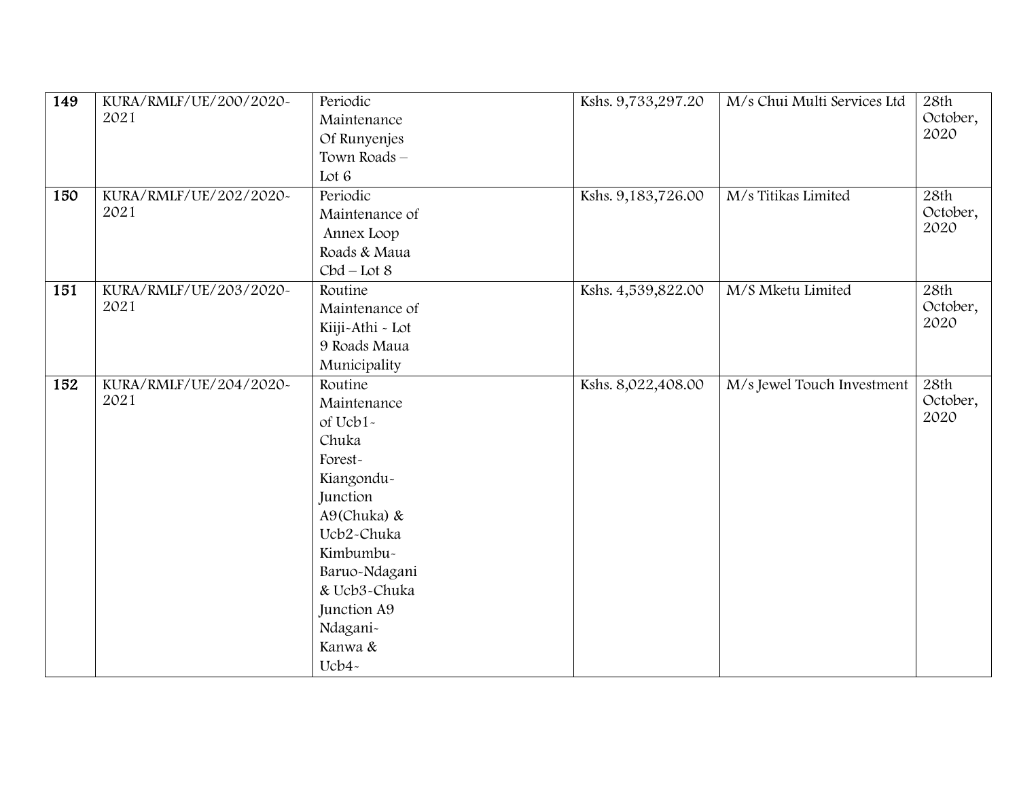| 149 | KURA/RMLF/UE/200/2020~ | Periodic         | Kshs. 9,733,297.20 | M/s Chui Multi Services Ltd | 28th     |
|-----|------------------------|------------------|--------------------|-----------------------------|----------|
|     | 2021                   | Maintenance      |                    |                             | October, |
|     |                        | Of Runyenjes     |                    |                             | 2020     |
|     |                        | Town Roads-      |                    |                             |          |
|     |                        | Lot 6            |                    |                             |          |
| 150 | KURA/RMLF/UE/202/2020~ | Periodic         | Kshs. 9,183,726.00 | M/s Titikas Limited         | 28th     |
|     | 2021                   | Maintenance of   |                    |                             | October, |
|     |                        | Annex Loop       |                    |                             | 2020     |
|     |                        | Roads & Maua     |                    |                             |          |
|     |                        | $Cbd - Lot8$     |                    |                             |          |
| 151 | KURA/RMLF/UE/203/2020~ | Routine          | Kshs. 4,539,822.00 | M/S Mketu Limited           | 28th     |
|     | 2021                   | Maintenance of   |                    |                             | October, |
|     |                        | Kiiji-Athi - Lot |                    |                             | 2020     |
|     |                        | 9 Roads Maua     |                    |                             |          |
|     |                        | Municipality     |                    |                             |          |
| 152 | KURA/RMLF/UE/204/2020~ | Routine          | Kshs. 8,022,408.00 | M/s Jewel Touch Investment  | 28th     |
|     | 2021                   | Maintenance      |                    |                             | October, |
|     |                        | of Ucb1-         |                    |                             | 2020     |
|     |                        | Chuka            |                    |                             |          |
|     |                        | Forest-          |                    |                             |          |
|     |                        | Kiangondu-       |                    |                             |          |
|     |                        | Junction         |                    |                             |          |
|     |                        | A9(Chuka) &      |                    |                             |          |
|     |                        | Ucb2-Chuka       |                    |                             |          |
|     |                        | Kimbumbu-        |                    |                             |          |
|     |                        | Baruo-Ndagani    |                    |                             |          |
|     |                        | & Ucb3-Chuka     |                    |                             |          |
|     |                        | Junction A9      |                    |                             |          |
|     |                        | Ndagani-         |                    |                             |          |
|     |                        | Kanwa &          |                    |                             |          |
|     |                        | Ucb4-            |                    |                             |          |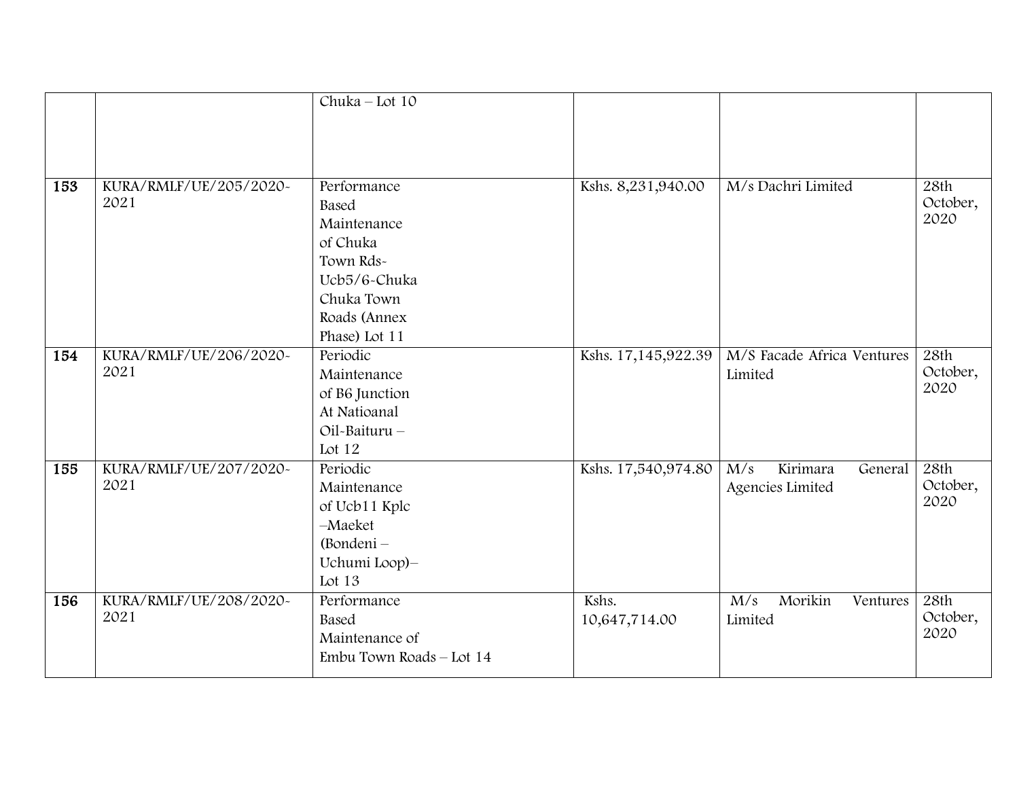|     |                        | Chuka - Lot 10           |                     |                            |          |
|-----|------------------------|--------------------------|---------------------|----------------------------|----------|
|     |                        |                          |                     |                            |          |
|     |                        |                          |                     |                            |          |
|     |                        |                          |                     |                            |          |
| 153 | KURA/RMLF/UE/205/2020~ | Performance              | Kshs. 8,231,940.00  | M/s Dachri Limited         | 28th     |
|     | 2021                   | Based                    |                     |                            | October, |
|     |                        | Maintenance              |                     |                            | 2020     |
|     |                        | of Chuka                 |                     |                            |          |
|     |                        | Town Rds-                |                     |                            |          |
|     |                        | Ucb5/6-Chuka             |                     |                            |          |
|     |                        | Chuka Town               |                     |                            |          |
|     |                        | Roads (Annex             |                     |                            |          |
|     |                        | Phase) Lot 11            |                     |                            |          |
| 154 | KURA/RMLF/UE/206/2020~ | Periodic                 | Kshs. 17,145,922.39 | M/S Facade Africa Ventures | 28th     |
|     | 2021                   | Maintenance              |                     | Limited                    | October, |
|     |                        | of B6 Junction           |                     |                            | 2020     |
|     |                        | At Natioanal             |                     |                            |          |
|     |                        | Oil-Baituru -            |                     |                            |          |
|     |                        | Lot 12                   |                     |                            |          |
| 155 | KURA/RMLF/UE/207/2020~ | Periodic                 | Kshs. 17,540,974.80 | Kirimara<br>M/s<br>General | 28th     |
|     | 2021                   | Maintenance              |                     | Agencies Limited           | October, |
|     |                        | of Ucb11 Kplc            |                     |                            | 2020     |
|     |                        | $-Maeket$                |                     |                            |          |
|     |                        | (Bondeni -               |                     |                            |          |
|     |                        | Uchumi Loop)-            |                     |                            |          |
|     |                        | Lot $13$                 |                     |                            |          |
| 156 | KURA/RMLF/UE/208/2020~ | Performance              | Kshs.               | Morikin<br>M/s<br>Ventures | 28th     |
|     | 2021                   | Based                    | 10,647,714.00       | Limited                    | October, |
|     |                        | Maintenance of           |                     |                            | 2020     |
|     |                        | Embu Town Roads - Lot 14 |                     |                            |          |
|     |                        |                          |                     |                            |          |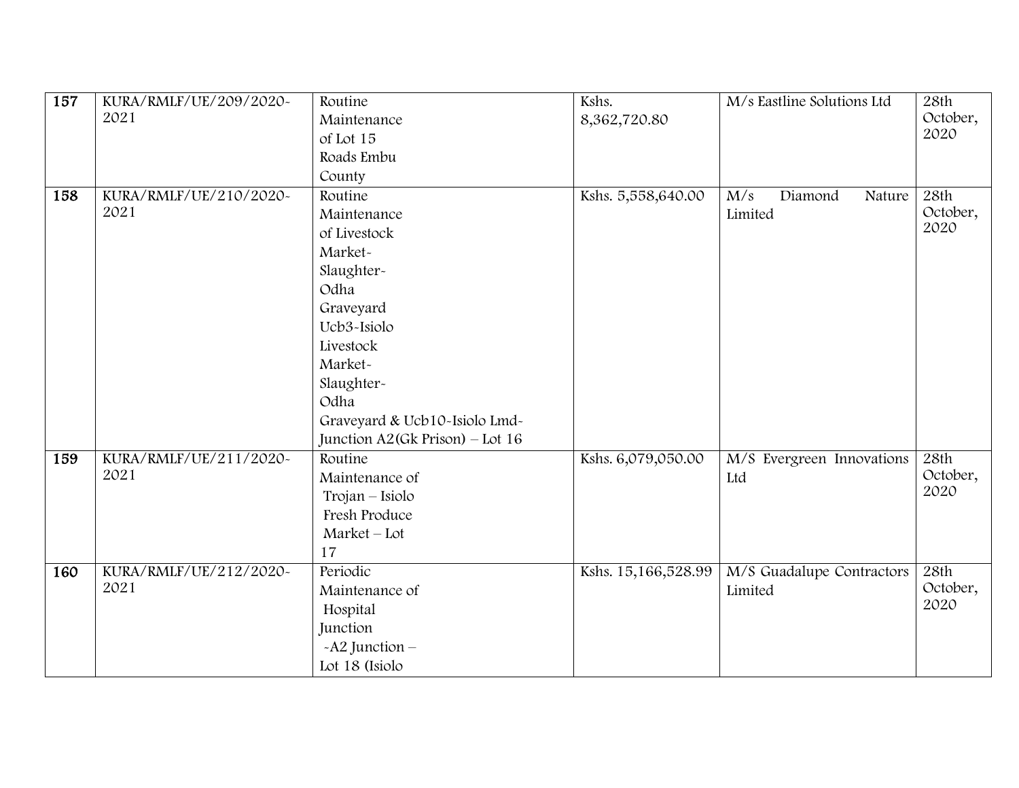| 157 | KURA/RMLF/UE/209/2020~ | Routine                           | Kshs.               | M/s Eastline Solutions Ltd | 28th     |
|-----|------------------------|-----------------------------------|---------------------|----------------------------|----------|
|     | 2021                   | Maintenance                       | 8,362,720.80        |                            | October, |
|     |                        | of Lot 15                         |                     |                            | 2020     |
|     |                        | Roads Embu                        |                     |                            |          |
|     |                        | County                            |                     |                            |          |
| 158 | KURA/RMLF/UE/210/2020~ | Routine                           | Kshs. 5,558,640.00  | Diamond<br>M/s<br>Nature   | 28th     |
|     | 2021                   | Maintenance                       |                     | Limited                    | October, |
|     |                        | of Livestock                      |                     |                            | 2020     |
|     |                        | Market-                           |                     |                            |          |
|     |                        | Slaughter-                        |                     |                            |          |
|     |                        | Odha                              |                     |                            |          |
|     |                        | Graveyard                         |                     |                            |          |
|     |                        | Ucb3-Isiolo                       |                     |                            |          |
|     |                        | Livestock                         |                     |                            |          |
|     |                        | Market-                           |                     |                            |          |
|     |                        | Slaughter-                        |                     |                            |          |
|     |                        | Odha                              |                     |                            |          |
|     |                        | Graveyard & Ucb10-Isiolo Lmd-     |                     |                            |          |
|     |                        | Junction $A2(Gk$ Prison) – Lot 16 |                     |                            |          |
| 159 | KURA/RMLF/UE/211/2020~ | Routine                           | Kshs. 6,079,050.00  | M/S Evergreen Innovations  | 28th     |
|     | 2021                   | Maintenance of                    |                     | Ltd                        | October, |
|     |                        | Trojan - Isiolo                   |                     |                            | 2020     |
|     |                        | Fresh Produce                     |                     |                            |          |
|     |                        | Market - Lot                      |                     |                            |          |
|     |                        | 17                                |                     |                            |          |
| 160 | KURA/RMLF/UE/212/2020~ | Periodic                          | Kshs. 15,166,528.99 | M/S Guadalupe Contractors  | 28th     |
|     | 2021                   | Maintenance of                    |                     | Limited                    | October, |
|     |                        | Hospital                          |                     |                            | 2020     |
|     |                        | Junction                          |                     |                            |          |
|     |                        | $-A2$ Junction –                  |                     |                            |          |
|     |                        | Lot 18 (Isiolo                    |                     |                            |          |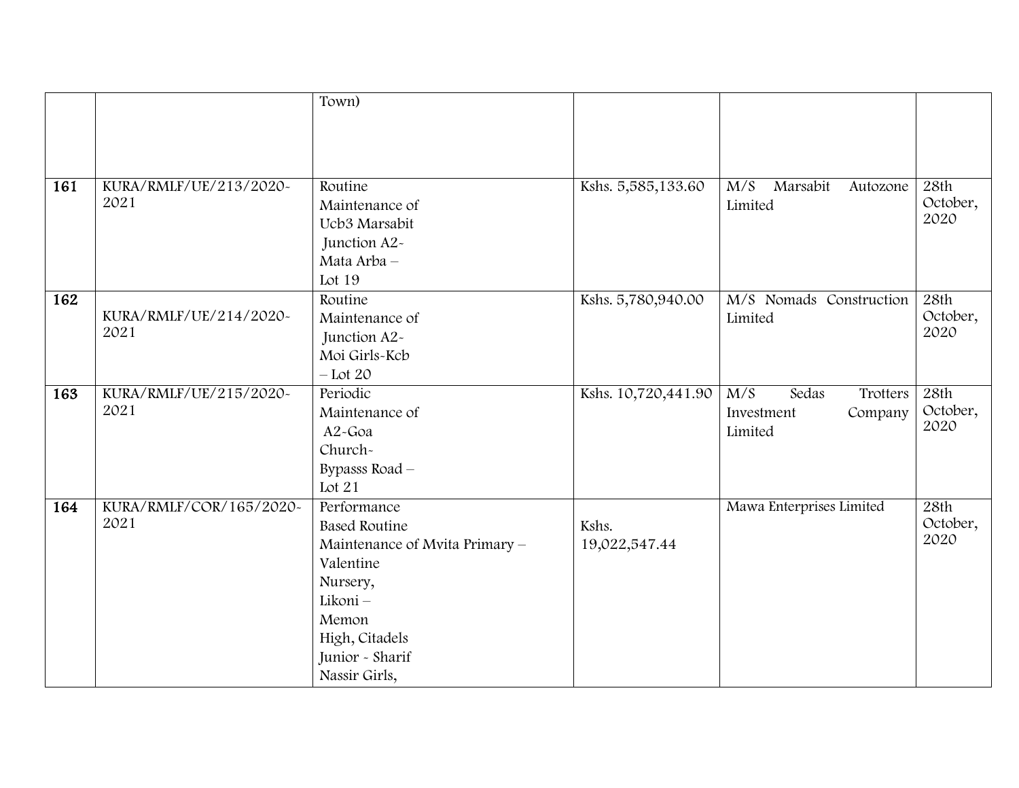|     |                         | Town)                             |                     |                                          |          |
|-----|-------------------------|-----------------------------------|---------------------|------------------------------------------|----------|
|     |                         |                                   |                     |                                          |          |
|     |                         |                                   |                     |                                          |          |
|     |                         |                                   |                     |                                          |          |
|     |                         |                                   |                     |                                          |          |
| 161 | KURA/RMLF/UE/213/2020~  | Routine                           | Kshs. 5,585,133.60  | $\overline{M/S}$<br>Marsabit<br>Autozone | 28th     |
|     | 2021                    | Maintenance of                    |                     | Limited                                  | October, |
|     |                         | Ucb3 Marsabit                     |                     |                                          | 2020     |
|     |                         | Junction A2-                      |                     |                                          |          |
|     |                         | Mata Arba -                       |                     |                                          |          |
|     |                         | Lot 19                            |                     |                                          |          |
| 162 |                         | Routine                           | Kshs. 5,780,940.00  | M/S Nomads Construction                  | 28th     |
|     | KURA/RMLF/UE/214/2020~  | Maintenance of                    |                     | Limited                                  | October, |
|     | 2021                    | Junction A2-                      |                     |                                          | 2020     |
|     |                         | Moi Girls-Kcb                     |                     |                                          |          |
|     |                         | $-$ Lot 20                        |                     |                                          |          |
| 163 | KURA/RMLF/UE/215/2020~  | Periodic                          | Kshs. 10,720,441.90 | M/S<br>Sedas<br>Trotters                 | 28th     |
|     |                         |                                   |                     |                                          |          |
|     | 2021                    | Maintenance of                    |                     | Investment<br>Company                    | October, |
|     |                         | A2-Goa                            |                     | Limited                                  | 2020     |
|     |                         | Church-                           |                     |                                          |          |
|     |                         | Bypasss Road -                    |                     |                                          |          |
|     |                         | Lot 21                            |                     |                                          |          |
| 164 | KURA/RMLF/COR/165/2020~ | Performance                       |                     | Mawa Enterprises Limited                 | 28th     |
|     | 2021                    | <b>Based Routine</b>              | Kshs.               |                                          | October, |
|     |                         | Maintenance of Mvita Primary -    |                     |                                          | 2020     |
|     |                         | Valentine                         | 19,022,547.44       |                                          |          |
|     |                         | Nursery,                          |                     |                                          |          |
|     |                         | Likoni-                           |                     |                                          |          |
|     |                         | Memon                             |                     |                                          |          |
|     |                         |                                   |                     |                                          |          |
|     |                         | High, Citadels<br>Junior - Sharif |                     |                                          |          |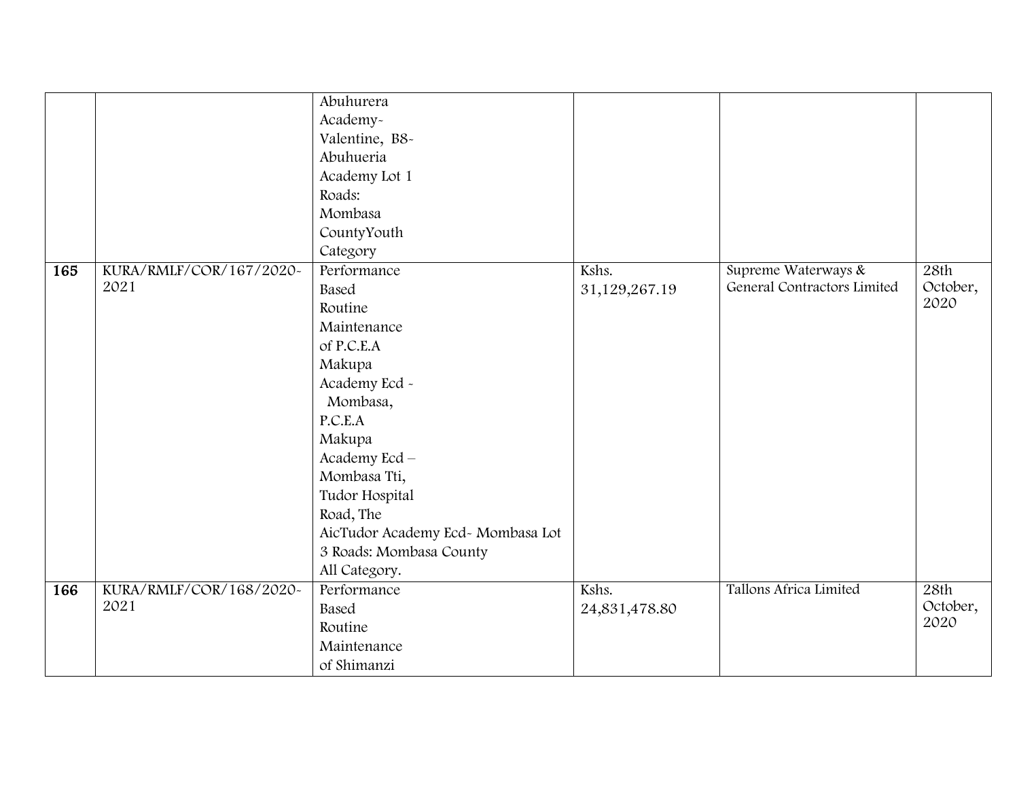|     |                         | Abuhurera                         |               |                             |          |
|-----|-------------------------|-----------------------------------|---------------|-----------------------------|----------|
|     |                         | Academy-                          |               |                             |          |
|     |                         | Valentine, B8-                    |               |                             |          |
|     |                         | Abuhueria                         |               |                             |          |
|     |                         | Academy Lot 1                     |               |                             |          |
|     |                         | Roads:                            |               |                             |          |
|     |                         | Mombasa                           |               |                             |          |
|     |                         | CountyYouth                       |               |                             |          |
|     |                         | Category                          |               |                             |          |
| 165 | KURA/RMLF/COR/167/2020~ | Performance                       | Kshs.         | Supreme Waterways &         | 28th     |
|     | 2021                    | Based                             | 31,129,267.19 | General Contractors Limited | October, |
|     |                         | Routine                           |               |                             | 2020     |
|     |                         | Maintenance                       |               |                             |          |
|     |                         | of P.C.E.A                        |               |                             |          |
|     |                         | Makupa                            |               |                             |          |
|     |                         | Academy Ecd ~                     |               |                             |          |
|     |                         | Mombasa,                          |               |                             |          |
|     |                         | P.C.E.A                           |               |                             |          |
|     |                         | Makupa                            |               |                             |          |
|     |                         | Academy Ecd-                      |               |                             |          |
|     |                         | Mombasa Tti,                      |               |                             |          |
|     |                         | Tudor Hospital                    |               |                             |          |
|     |                         | Road, The                         |               |                             |          |
|     |                         | AicTudor Academy Ecd- Mombasa Lot |               |                             |          |
|     |                         | 3 Roads: Mombasa County           |               |                             |          |
|     |                         | All Category.                     |               |                             |          |
| 166 | KURA/RMLF/COR/168/2020~ | Performance                       | Kshs.         | Tallons Africa Limited      | 28th     |
|     | 2021                    | Based                             | 24,831,478.80 |                             | October, |
|     |                         | Routine                           |               |                             | 2020     |
|     |                         | Maintenance                       |               |                             |          |
|     |                         | of Shimanzi                       |               |                             |          |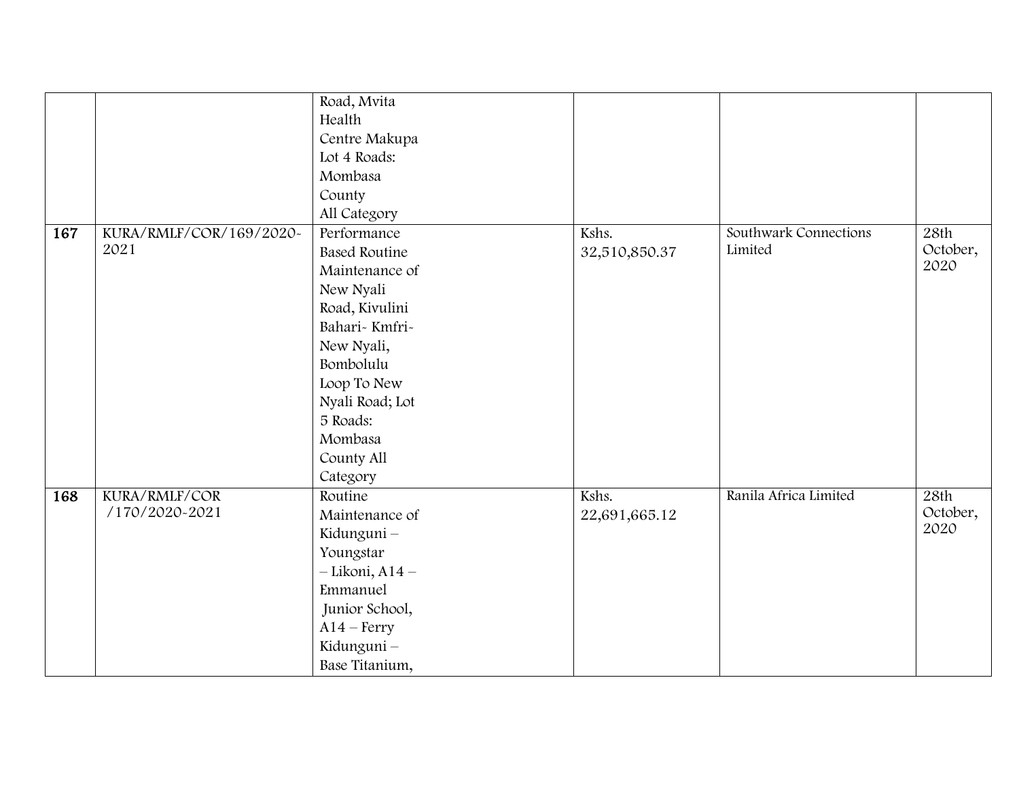|     |                         | Road, Mvita          |               |                       |          |
|-----|-------------------------|----------------------|---------------|-----------------------|----------|
|     |                         | Health               |               |                       |          |
|     |                         | Centre Makupa        |               |                       |          |
|     |                         | Lot 4 Roads:         |               |                       |          |
|     |                         | Mombasa              |               |                       |          |
|     |                         | County               |               |                       |          |
|     |                         | All Category         |               |                       |          |
| 167 | KURA/RMLF/COR/169/2020~ | Performance          | Kshs.         | Southwark Connections | 28th     |
|     | 2021                    | <b>Based Routine</b> | 32,510,850.37 | Limited               | October, |
|     |                         | Maintenance of       |               |                       | 2020     |
|     |                         | New Nyali            |               |                       |          |
|     |                         | Road, Kivulini       |               |                       |          |
|     |                         | Bahari-Kmfri-        |               |                       |          |
|     |                         | New Nyali,           |               |                       |          |
|     |                         | Bombolulu            |               |                       |          |
|     |                         | Loop To New          |               |                       |          |
|     |                         | Nyali Road; Lot      |               |                       |          |
|     |                         | 5 Roads:             |               |                       |          |
|     |                         | Mombasa              |               |                       |          |
|     |                         | County All           |               |                       |          |
|     |                         | Category             |               |                       |          |
| 168 | KURA/RMLF/COR           | Routine              | Kshs.         | Ranila Africa Limited | 28th     |
|     | /170/2020-2021          | Maintenance of       | 22,691,665.12 |                       | October, |
|     |                         | Kidunguni-           |               |                       | 2020     |
|     |                         | Youngstar            |               |                       |          |
|     |                         | $-Likoni, A14-$      |               |                       |          |
|     |                         | Emmanuel             |               |                       |          |
|     |                         | Junior School,       |               |                       |          |
|     |                         | $A14 - Ferry$        |               |                       |          |
|     |                         | Kidunguni-           |               |                       |          |
|     |                         | Base Titanium,       |               |                       |          |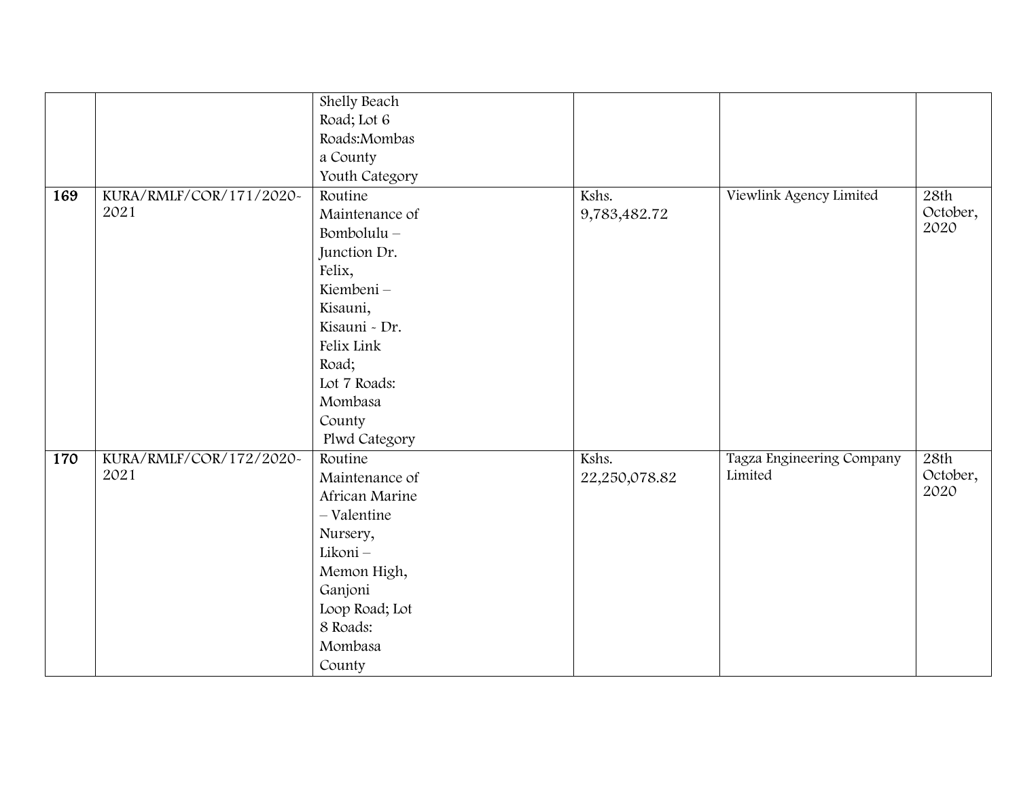|     |                         | Shelly Beach   |               |                           |          |
|-----|-------------------------|----------------|---------------|---------------------------|----------|
|     |                         | Road; Lot 6    |               |                           |          |
|     |                         | Roads:Mombas   |               |                           |          |
|     |                         | a County       |               |                           |          |
|     |                         | Youth Category |               |                           |          |
| 169 | KURA/RMLF/COR/171/2020~ | Routine        | Kshs.         | Viewlink Agency Limited   | 28th     |
|     | 2021                    | Maintenance of | 9,783,482.72  |                           | October, |
|     |                         | Bombolulu-     |               |                           | 2020     |
|     |                         | Junction Dr.   |               |                           |          |
|     |                         | Felix,         |               |                           |          |
|     |                         | Kiembeni-      |               |                           |          |
|     |                         | Kisauni,       |               |                           |          |
|     |                         | Kisauni - Dr.  |               |                           |          |
|     |                         | Felix Link     |               |                           |          |
|     |                         | Road;          |               |                           |          |
|     |                         | Lot 7 Roads:   |               |                           |          |
|     |                         | Mombasa        |               |                           |          |
|     |                         | County         |               |                           |          |
|     |                         | Plwd Category  |               |                           |          |
| 170 | KURA/RMLF/COR/172/2020~ | Routine        | Kshs.         | Tagza Engineering Company | 28th     |
|     | 2021                    | Maintenance of | 22,250,078.82 | Limited                   | October, |
|     |                         | African Marine |               |                           | 2020     |
|     |                         | - Valentine    |               |                           |          |
|     |                         | Nursery,       |               |                           |          |
|     |                         | Likoni-        |               |                           |          |
|     |                         | Memon High,    |               |                           |          |
|     |                         | Ganjoni        |               |                           |          |
|     |                         | Loop Road; Lot |               |                           |          |
|     |                         | 8 Roads:       |               |                           |          |
|     |                         | Mombasa        |               |                           |          |
|     |                         | County         |               |                           |          |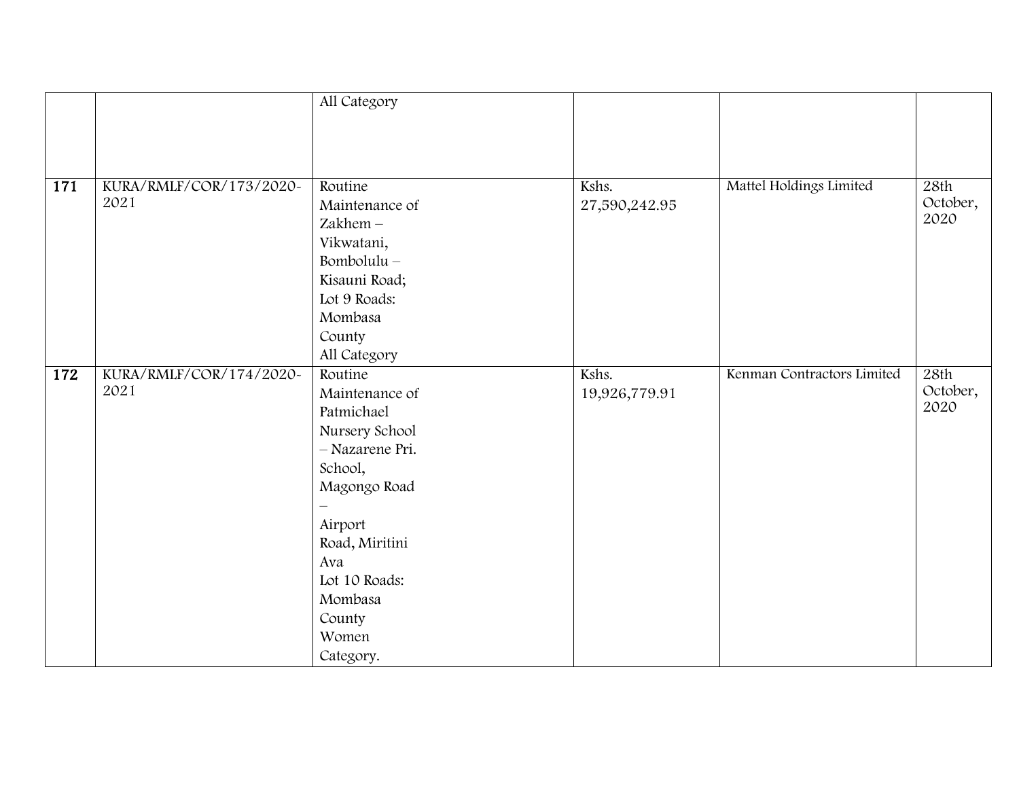|     |                         | All Category    |               |                            |          |
|-----|-------------------------|-----------------|---------------|----------------------------|----------|
|     |                         |                 |               |                            |          |
|     |                         |                 |               |                            |          |
|     |                         |                 |               |                            |          |
|     |                         |                 |               |                            |          |
| 171 | KURA/RMLF/COR/173/2020~ | Routine         | Kshs.         | Mattel Holdings Limited    | 28th     |
|     | 2021                    | Maintenance of  | 27,590,242.95 |                            | October, |
|     |                         | Zakhem-         |               |                            | 2020     |
|     |                         | Vikwatani,      |               |                            |          |
|     |                         | Bombolulu $-$   |               |                            |          |
|     |                         | Kisauni Road;   |               |                            |          |
|     |                         | Lot 9 Roads:    |               |                            |          |
|     |                         | Mombasa         |               |                            |          |
|     |                         | County          |               |                            |          |
|     |                         | All Category    |               |                            |          |
| 172 | KURA/RMLF/COR/174/2020~ | Routine         | Kshs.         | Kenman Contractors Limited | 28th     |
|     | 2021                    | Maintenance of  | 19,926,779.91 |                            | October, |
|     |                         | Patmichael      |               |                            | 2020     |
|     |                         | Nursery School  |               |                            |          |
|     |                         | - Nazarene Pri. |               |                            |          |
|     |                         | School,         |               |                            |          |
|     |                         | Magongo Road    |               |                            |          |
|     |                         |                 |               |                            |          |
|     |                         | Airport         |               |                            |          |
|     |                         | Road, Miritini  |               |                            |          |
|     |                         | Ava             |               |                            |          |
|     |                         | Lot 10 Roads:   |               |                            |          |
|     |                         | Mombasa         |               |                            |          |
|     |                         | County          |               |                            |          |
|     |                         | Women           |               |                            |          |
|     |                         |                 |               |                            |          |
|     |                         | Category.       |               |                            |          |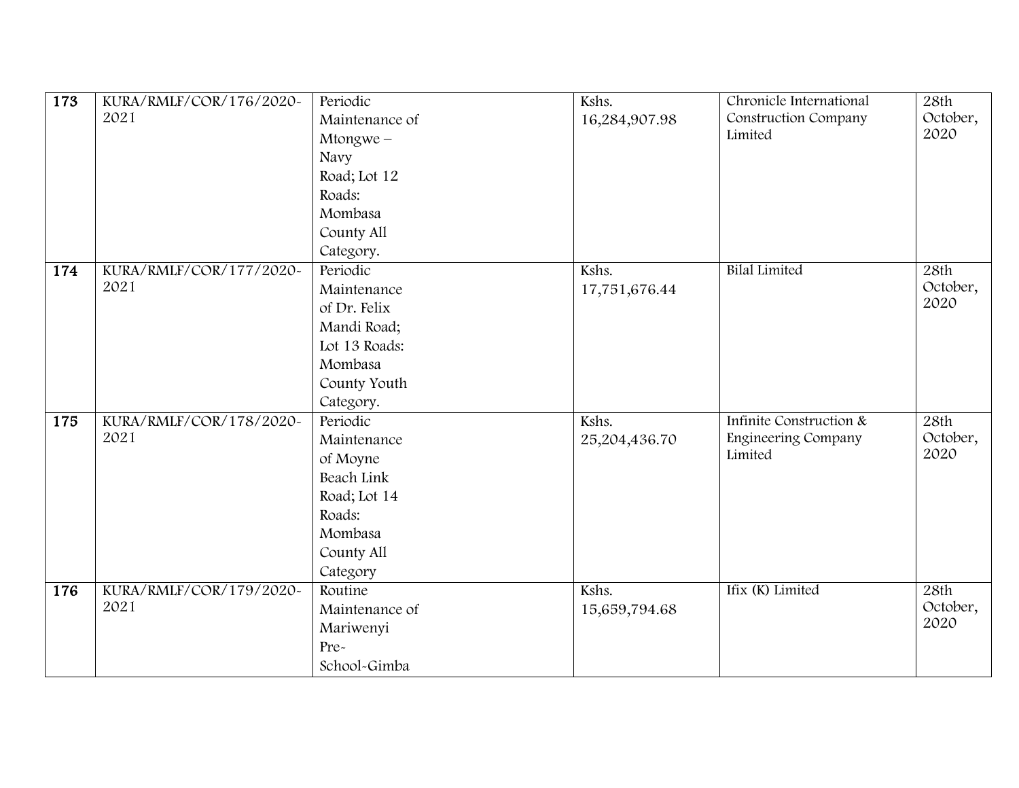| 173 | KURA/RMLF/COR/176/2020~ | Periodic       | Kshs.         | Chronicle International | 28th     |
|-----|-------------------------|----------------|---------------|-------------------------|----------|
|     | 2021                    | Maintenance of | 16,284,907.98 | Construction Company    | October, |
|     |                         | $M$ tongwe $-$ |               | Limited                 | 2020     |
|     |                         | Navy           |               |                         |          |
|     |                         | Road; Lot 12   |               |                         |          |
|     |                         | Roads:         |               |                         |          |
|     |                         | Mombasa        |               |                         |          |
|     |                         | County All     |               |                         |          |
|     |                         | Category.      |               |                         |          |
| 174 | KURA/RMLF/COR/177/2020~ | Periodic       | Kshs.         | <b>Bilal Limited</b>    | 28th     |
|     | 2021                    | Maintenance    | 17,751,676.44 |                         | October, |
|     |                         | of Dr. Felix   |               |                         | 2020     |
|     |                         | Mandi Road;    |               |                         |          |
|     |                         | Lot 13 Roads:  |               |                         |          |
|     |                         | Mombasa        |               |                         |          |
|     |                         | County Youth   |               |                         |          |
|     |                         | Category.      |               |                         |          |
| 175 | KURA/RMLF/COR/178/2020~ | Periodic       | Kshs.         | Infinite Construction & | 28th     |
|     | 2021                    | Maintenance    | 25,204,436.70 | Engineering Company     | October, |
|     |                         | of Moyne       |               | Limited                 | 2020     |
|     |                         | Beach Link     |               |                         |          |
|     |                         | Road; Lot 14   |               |                         |          |
|     |                         | Roads:         |               |                         |          |
|     |                         | Mombasa        |               |                         |          |
|     |                         | County All     |               |                         |          |
|     |                         | Category       |               |                         |          |
| 176 | KURA/RMLF/COR/179/2020~ | Routine        | Kshs.         | Ifix (K) Limited        | 28th     |
|     | 2021                    | Maintenance of | 15,659,794.68 |                         | October, |
|     |                         | Mariwenyi      |               |                         | 2020     |
|     |                         | Pre-           |               |                         |          |
|     |                         | School-Gimba   |               |                         |          |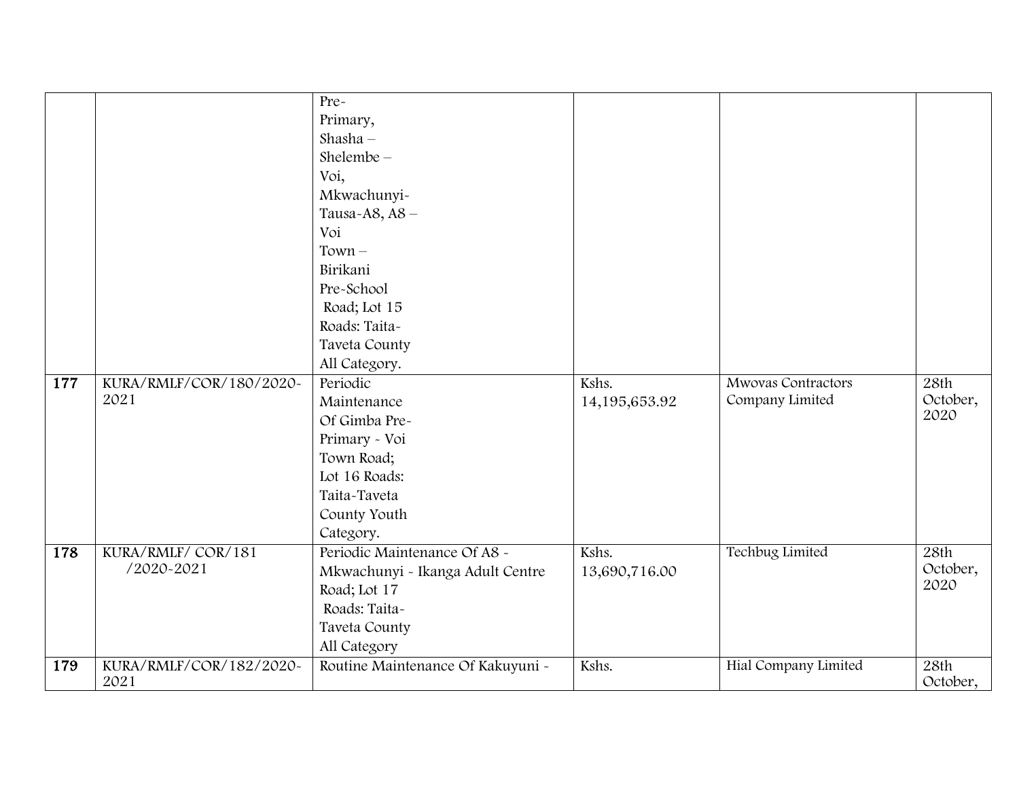|            |                         | Pre-                              |               |                      |          |
|------------|-------------------------|-----------------------------------|---------------|----------------------|----------|
|            |                         | Primary,                          |               |                      |          |
|            |                         | Shasha $-$                        |               |                      |          |
|            |                         | Shelembe $-$                      |               |                      |          |
|            |                         | Voi,                              |               |                      |          |
|            |                         | Mkwachunyi-                       |               |                      |          |
|            |                         | Tausa-A8, A8-                     |               |                      |          |
|            |                         | Voi                               |               |                      |          |
|            |                         | $Town -$                          |               |                      |          |
|            |                         | Birikani                          |               |                      |          |
|            |                         | Pre-School                        |               |                      |          |
|            |                         | Road; Lot 15                      |               |                      |          |
|            |                         | Roads: Taita-                     |               |                      |          |
|            |                         | Taveta County                     |               |                      |          |
|            |                         | All Category.                     |               |                      |          |
| 177        | KURA/RMLF/COR/180/2020~ | Periodic                          | Kshs.         | Mwovas Contractors   | 28th     |
|            | 2021                    | Maintenance                       | 14,195,653.92 | Company Limited      | October, |
|            |                         | Of Gimba Pre-                     |               |                      | 2020     |
|            |                         | Primary - Voi                     |               |                      |          |
|            |                         | Town Road;                        |               |                      |          |
|            |                         | Lot 16 Roads:                     |               |                      |          |
|            |                         | Taita-Taveta                      |               |                      |          |
|            |                         | County Youth                      |               |                      |          |
|            |                         | Category.                         |               |                      |          |
| 178        | KURA/RMLF/COR/181       | Periodic Maintenance Of A8 ~      | Kshs.         | Techbug Limited      | 28th     |
|            | /2020-2021              | Mkwachunyi - Ikanga Adult Centre  | 13,690,716.00 |                      | October, |
|            |                         | Road; Lot 17                      |               |                      | 2020     |
|            |                         | Roads: Taita-                     |               |                      |          |
|            |                         | Taveta County                     |               |                      |          |
|            |                         | All Category                      |               |                      |          |
| <b>179</b> | KURA/RMLF/COR/182/2020~ | Routine Maintenance Of Kakuyuni - | Kshs.         | Hial Company Limited | 28th     |
|            | 2021                    |                                   |               |                      | October, |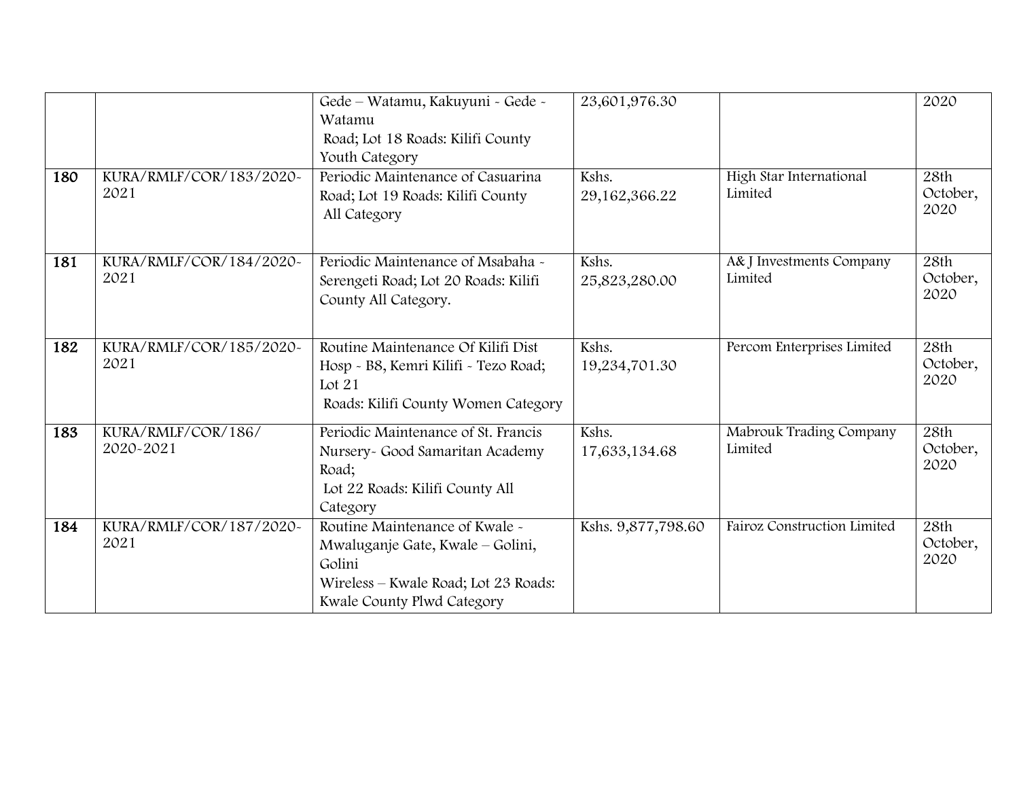|     |                         | Gede - Watamu, Kakuyuni - Gede -                             | 23,601,976.30      |                                    | 2020             |
|-----|-------------------------|--------------------------------------------------------------|--------------------|------------------------------------|------------------|
|     |                         | Watamu                                                       |                    |                                    |                  |
|     |                         | Road; Lot 18 Roads: Kilifi County                            |                    |                                    |                  |
|     |                         | Youth Category                                               |                    |                                    |                  |
| 180 | KURA/RMLF/COR/183/2020~ | Periodic Maintenance of Casuarina                            | Kshs.              | High Star International            | 28th             |
|     | 2021                    | Road; Lot 19 Roads: Kilifi County                            | 29,162,366.22      | Limited                            | October,         |
|     |                         | All Category                                                 |                    |                                    | 2020             |
|     |                         |                                                              |                    |                                    |                  |
| 181 | KURA/RMLF/COR/184/2020~ | Periodic Maintenance of Msabaha ~                            | Kshs.              | A& J Investments Company           | 28th             |
|     | 2021                    |                                                              |                    | Limited                            | October,         |
|     |                         | Serengeti Road; Lot 20 Roads: Kilifi<br>County All Category. | 25,823,280.00      |                                    | 2020             |
|     |                         |                                                              |                    |                                    |                  |
|     |                         |                                                              |                    |                                    |                  |
| 182 | KURA/RMLF/COR/185/2020~ | Routine Maintenance Of Kilifi Dist                           | Kshs.              | Percom Enterprises Limited         | 28th             |
|     | 2021                    | Hosp - B8, Kemri Kilifi - Tezo Road;                         | 19,234,701.30      |                                    | October,         |
|     |                         | Lot $21$                                                     |                    |                                    | 2020             |
|     |                         | Roads: Kilifi County Women Category                          |                    |                                    |                  |
| 183 | KURA/RMLF/COR/186/      | Periodic Maintenance of St. Francis                          | Kshs.              |                                    | 28th             |
|     | 2020-2021               |                                                              |                    | Mabrouk Trading Company<br>Limited | October,         |
|     |                         | Nursery- Good Samaritan Academy                              | 17,633,134.68      |                                    | 2020             |
|     |                         | Road;                                                        |                    |                                    |                  |
|     |                         | Lot 22 Roads: Kilifi County All                              |                    |                                    |                  |
|     |                         | Category                                                     |                    |                                    |                  |
| 184 | KURA/RMLF/COR/187/2020~ | Routine Maintenance of Kwale -                               | Kshs. 9,877,798.60 | Fairoz Construction Limited        | 28th             |
|     | 2021                    | Mwaluganje Gate, Kwale – Golini,                             |                    |                                    | October,<br>2020 |
|     |                         | Golini                                                       |                    |                                    |                  |
|     |                         | Wireless - Kwale Road; Lot 23 Roads:                         |                    |                                    |                  |
|     |                         | Kwale County Plwd Category                                   |                    |                                    |                  |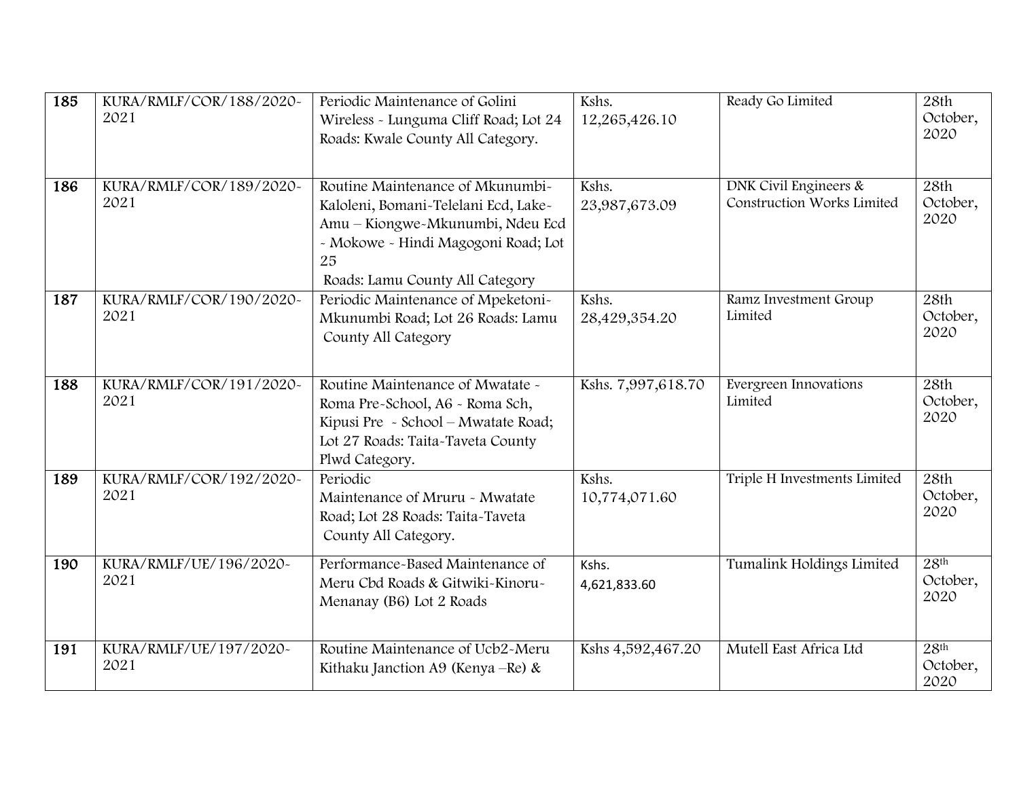| 185 | KURA/RMLF/COR/188/2020~<br>2021 | Periodic Maintenance of Golini<br>Wireless - Lunguma Cliff Road; Lot 24<br>Roads: Kwale County All Category.                                                                                 | Kshs.<br>12,265,426.10 | Ready Go Limited                                    | 28th<br>October,<br>2020             |
|-----|---------------------------------|----------------------------------------------------------------------------------------------------------------------------------------------------------------------------------------------|------------------------|-----------------------------------------------------|--------------------------------------|
| 186 | KURA/RMLF/COR/189/2020~<br>2021 | Routine Maintenance of Mkunumbi-<br>Kaloleni, Bomani-Telelani Ecd, Lake-<br>Amu - Kiongwe-Mkunumbi, Ndeu Ecd<br>- Mokowe - Hindi Magogoni Road; Lot<br>25<br>Roads: Lamu County All Category | Kshs.<br>23,987,673.09 | DNK Civil Engineers &<br>Construction Works Limited | 28th<br>October,<br>2020             |
| 187 | KURA/RMLF/COR/190/2020~<br>2021 | Periodic Maintenance of Mpeketoni-<br>Mkunumbi Road; Lot 26 Roads: Lamu<br>County All Category                                                                                               | Kshs.<br>28,429,354.20 | Ramz Investment Group<br>Limited                    | 28th<br>October,<br>2020             |
| 188 | KURA/RMLF/COR/191/2020~<br>2021 | Routine Maintenance of Mwatate ~<br>Roma Pre-School, A6 - Roma Sch,<br>Kipusi Pre - School - Mwatate Road;<br>Lot 27 Roads: Taita-Taveta County<br>Plwd Category.                            | Kshs. 7,997,618.70     | Evergreen Innovations<br>Limited                    | 28th<br>October,<br>2020             |
| 189 | KURA/RMLF/COR/192/2020~<br>2021 | Periodic<br>Maintenance of Mruru - Mwatate<br>Road; Lot 28 Roads: Taita-Taveta<br>County All Category.                                                                                       | Kshs.<br>10,774,071.60 | Triple H Investments Limited                        | 28th<br>October,<br>2020             |
| 190 | KURA/RMLF/UE/196/2020~<br>2021  | Performance-Based Maintenance of<br>Meru Cbd Roads & Gitwiki-Kinoru-<br>Menanay (B6) Lot 2 Roads                                                                                             | Kshs.<br>4,621,833.60  | Tumalink Holdings Limited                           | 28 <sup>th</sup><br>October,<br>2020 |
| 191 | KURA/RMLF/UE/197/2020~<br>2021  | Routine Maintenance of Ucb2-Meru<br>Kithaku Janction A9 (Kenya – Re) &                                                                                                                       | Kshs 4,592,467.20      | Mutell East Africa Ltd                              | 28 <sup>th</sup><br>October,<br>2020 |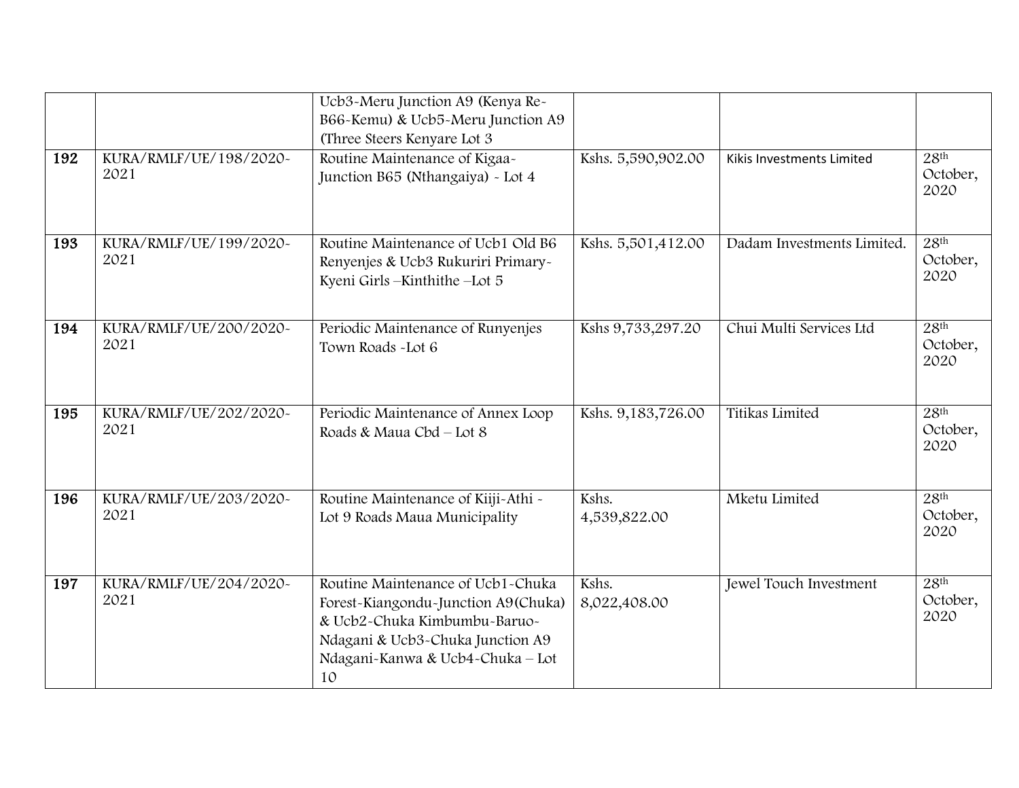|     |                                | Ucb3-Meru Junction A9 (Kenya Re-<br>B66-Kemu) & Ucb5-Meru Junction A9                                                                                                                  |                       |                            |                                      |
|-----|--------------------------------|----------------------------------------------------------------------------------------------------------------------------------------------------------------------------------------|-----------------------|----------------------------|--------------------------------------|
| 192 | KURA/RMLF/UE/198/2020~<br>2021 | (Three Steers Kenyare Lot 3<br>Routine Maintenance of Kigaa-<br>Junction B65 (Nthangaiya) - Lot 4                                                                                      | Kshs. 5,590,902.00    | Kikis Investments Limited  | 28 <sup>th</sup><br>October,<br>2020 |
| 193 | KURA/RMLF/UE/199/2020~<br>2021 | Routine Maintenance of Ucb1 Old B6<br>Renyenjes & Ucb3 Rukuriri Primary~<br>Kyeni Girls-Kinthithe-Lot 5                                                                                | Kshs. 5,501,412.00    | Dadam Investments Limited. | 28 <sup>th</sup><br>October,<br>2020 |
| 194 | KURA/RMLF/UE/200/2020~<br>2021 | Periodic Maintenance of Runyenjes<br>Town Roads - Lot 6                                                                                                                                | Kshs 9,733,297.20     | Chui Multi Services Ltd    | 28 <sup>th</sup><br>October,<br>2020 |
| 195 | KURA/RMLF/UE/202/2020~<br>2021 | Periodic Maintenance of Annex Loop<br>Roads & Maua Cbd - Lot 8                                                                                                                         | Kshs. 9,183,726.00    | Titikas Limited            | 28 <sup>th</sup><br>October,<br>2020 |
| 196 | KURA/RMLF/UE/203/2020~<br>2021 | Routine Maintenance of Kiiji-Athi -<br>Lot 9 Roads Maua Municipality                                                                                                                   | Kshs.<br>4,539,822.00 | Mketu Limited              | 28 <sup>th</sup><br>October,<br>2020 |
| 197 | KURA/RMLF/UE/204/2020~<br>2021 | Routine Maintenance of Ucb1-Chuka<br>Forest-Kiangondu-Junction A9(Chuka)<br>& Ucb2-Chuka Kimbumbu-Baruo-<br>Ndagani & Ucb3-Chuka Junction A9<br>Ndagani-Kanwa & Ucb4-Chuka - Lot<br>10 | Kshs.<br>8,022,408.00 | Jewel Touch Investment     | 28 <sup>th</sup><br>October,<br>2020 |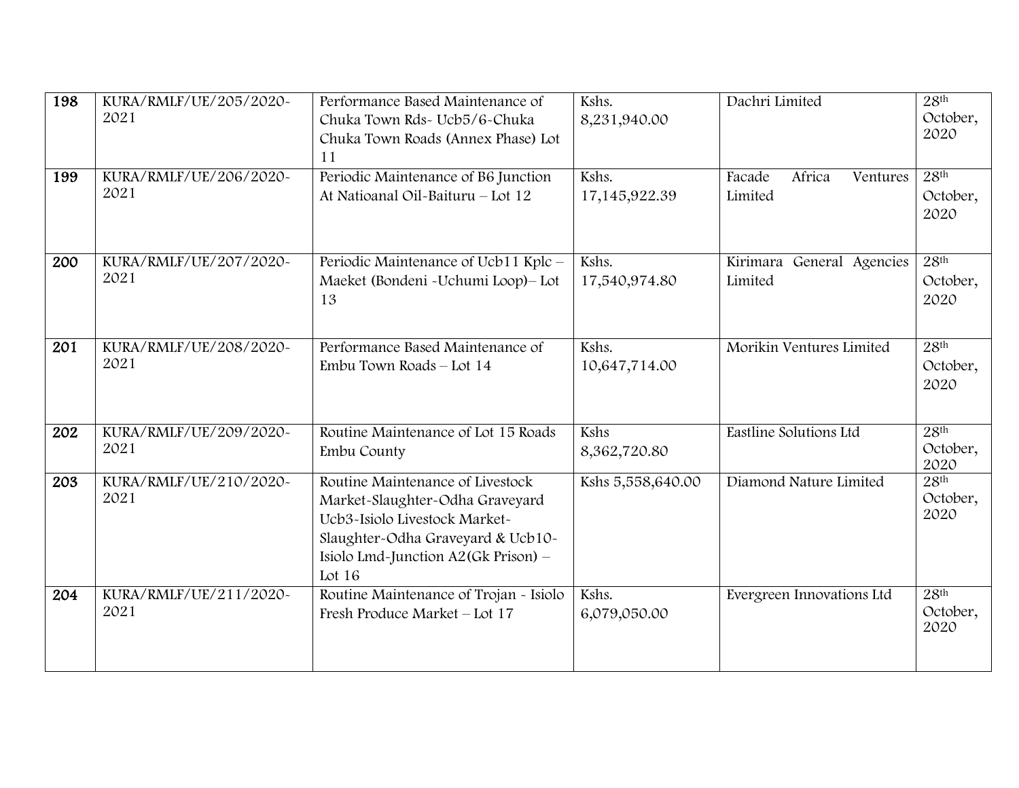| 198 | KURA/RMLF/UE/205/2020~<br>2021 | Performance Based Maintenance of<br>Chuka Town Rds- Ucb5/6-Chuka<br>Chuka Town Roads (Annex Phase) Lot<br>11                                                                               | Kshs.<br>8,231,940.00     | Dachri Limited                          | 28 <sup>th</sup><br>October,<br>2020 |
|-----|--------------------------------|--------------------------------------------------------------------------------------------------------------------------------------------------------------------------------------------|---------------------------|-----------------------------------------|--------------------------------------|
| 199 | KURA/RMLF/UE/206/2020~<br>2021 | Periodic Maintenance of B6 Junction<br>At Natioanal Oil-Baituru - Lot 12                                                                                                                   | Kshs.<br>17, 145, 922. 39 | Africa<br>Facade<br>Ventures<br>Limited | 28 <sup>th</sup><br>October,<br>2020 |
| 200 | KURA/RMLF/UE/207/2020~<br>2021 | Periodic Maintenance of Ucb11 Kplc -<br>Maeket (Bondeni - Uchumi Loop) - Lot<br>13                                                                                                         | Kshs.<br>17,540,974.80    | Kirimara General Agencies<br>Limited    | 28 <sup>th</sup><br>October,<br>2020 |
| 201 | KURA/RMLF/UE/208/2020~<br>2021 | Performance Based Maintenance of<br>Embu Town Roads - Lot 14                                                                                                                               | Kshs.<br>10,647,714.00    | Morikin Ventures Limited                | 28 <sup>th</sup><br>October,<br>2020 |
| 202 | KURA/RMLF/UE/209/2020~<br>2021 | Routine Maintenance of Lot 15 Roads<br>Embu County                                                                                                                                         | Kshs<br>8,362,720.80      | Eastline Solutions Ltd                  | 28 <sup>th</sup><br>October,<br>2020 |
| 203 | KURA/RMLF/UE/210/2020~<br>2021 | Routine Maintenance of Livestock<br>Market-Slaughter-Odha Graveyard<br>Ucb3~Isiolo Livestock Market~<br>Slaughter-Odha Graveyard & Ucb10-<br>Isiolo Lmd-Junction A2(Gk Prison) -<br>Lot 16 | Kshs 5,558,640.00         | Diamond Nature Limited                  | 28 <sup>th</sup><br>October,<br>2020 |
| 204 | KURA/RMLF/UE/211/2020~<br>2021 | Routine Maintenance of Trojan - Isiolo<br>Fresh Produce Market - Lot 17                                                                                                                    | Kshs.<br>6,079,050.00     | Evergreen Innovations Ltd               | 28 <sup>th</sup><br>October,<br>2020 |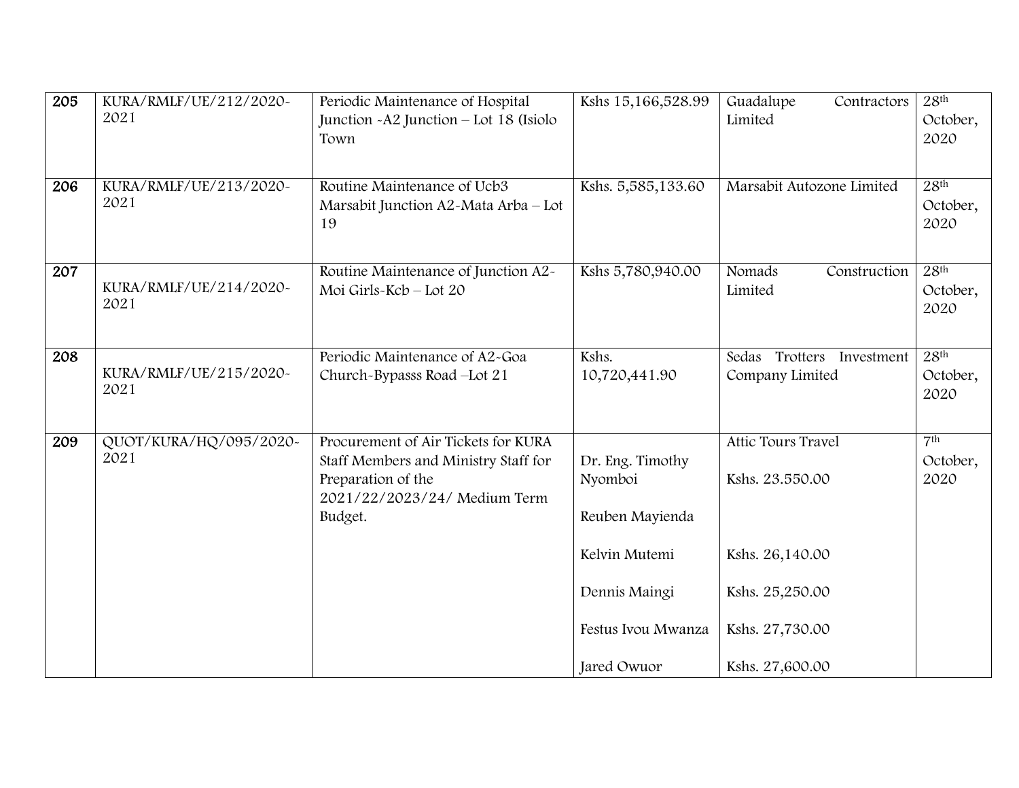| 205 | KURA/RMLF/UE/212/2020~<br>2021 | Periodic Maintenance of Hospital<br>Junction - A2 Junction - Lot 18 (Isiolo<br>Town                                                          | Kshs 15,166,528.99                                                                                                    | Guadalupe<br>Contractors<br>Limited                                                                               | 28 <sup>th</sup><br>October,<br>2020 |
|-----|--------------------------------|----------------------------------------------------------------------------------------------------------------------------------------------|-----------------------------------------------------------------------------------------------------------------------|-------------------------------------------------------------------------------------------------------------------|--------------------------------------|
| 206 | KURA/RMLF/UE/213/2020~<br>2021 | Routine Maintenance of Ucb3<br>Marsabit Junction A2-Mata Arba - Lot<br>19                                                                    | Kshs. 5,585,133.60                                                                                                    | Marsabit Autozone Limited                                                                                         | 28 <sup>th</sup><br>October,<br>2020 |
| 207 | KURA/RMLF/UE/214/2020~<br>2021 | Routine Maintenance of Junction A2-<br>Moi Girls-Kcb - Lot 20                                                                                | Kshs 5,780,940.00                                                                                                     | Nomads<br>Construction<br>Limited                                                                                 | 28 <sup>th</sup><br>October,<br>2020 |
| 208 | KURA/RMLF/UE/215/2020~<br>2021 | Periodic Maintenance of A2-Goa<br>Church-Bypasss Road-Lot 21                                                                                 | Kshs.<br>10,720,441.90                                                                                                | Sedas Trotters Investment<br>Company Limited                                                                      | 28 <sup>th</sup><br>October,<br>2020 |
| 209 | QUOT/KURA/HQ/095/2020-<br>2021 | Procurement of Air Tickets for KURA<br>Staff Members and Ministry Staff for<br>Preparation of the<br>2021/22/2023/24/ Medium Term<br>Budget. | Dr. Eng. Timothy<br>Nyomboi<br>Reuben Mayienda<br>Kelvin Mutemi<br>Dennis Maingi<br>Festus Ivou Mwanza<br>Jared Owuor | Attic Tours Travel<br>Kshs. 23.550.00<br>Kshs. 26,140.00<br>Kshs. 25,250.00<br>Kshs. 27,730.00<br>Kshs. 27,600.00 | 7 <sup>th</sup><br>October,<br>2020  |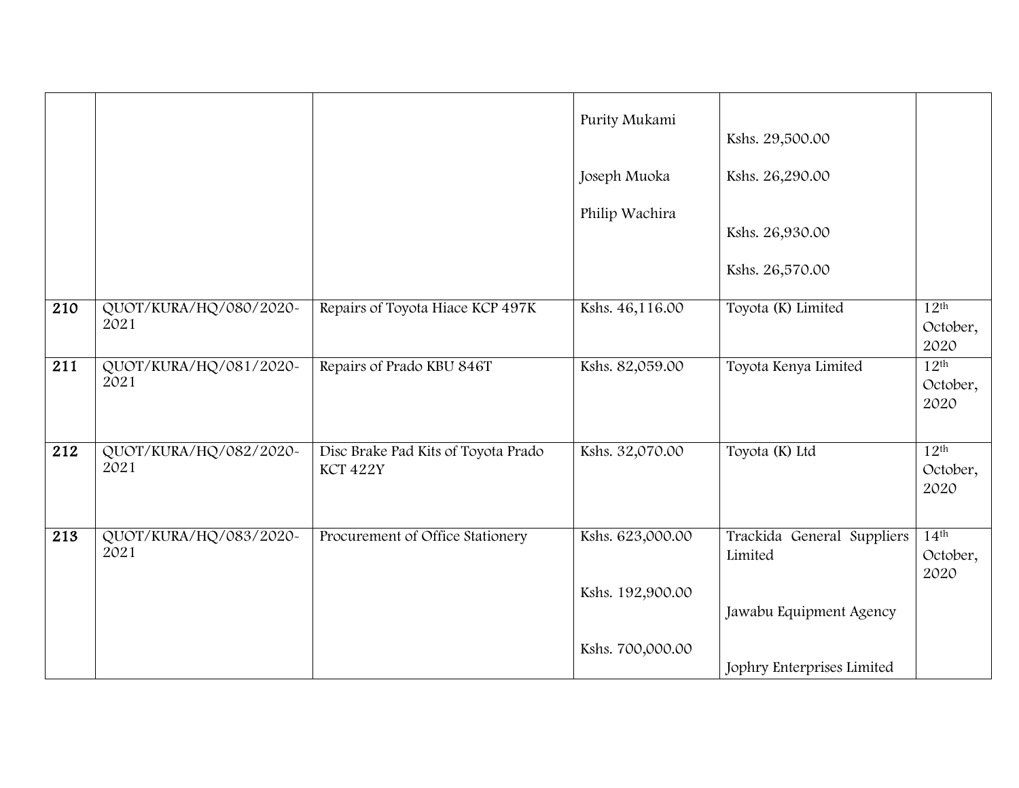|                  |                                |                                                 | Purity Mukami    | Kshs. 29,500.00                       |                                      |
|------------------|--------------------------------|-------------------------------------------------|------------------|---------------------------------------|--------------------------------------|
|                  |                                |                                                 | Joseph Muoka     | Kshs. 26,290.00                       |                                      |
|                  |                                |                                                 | Philip Wachira   | Kshs. 26,930.00                       |                                      |
|                  |                                |                                                 |                  | Kshs. 26,570.00                       |                                      |
| $\overline{210}$ | QUOT/KURA/HQ/080/2020-<br>2021 | Repairs of Toyota Hiace KCP 497K                | Kshs. 46,116.00  | Toyota (K) Limited                    | 12 <sup>th</sup><br>October,<br>2020 |
| $\overline{211}$ | QUOT/KURA/HQ/081/2020~<br>2021 | Repairs of Prado KBU 846T                       | Kshs. 82,059.00  | Toyota Kenya Limited                  | 12 <sup>th</sup><br>October,<br>2020 |
| 212              | QUOT/KURA/HQ/082/2020~<br>2021 | Disc Brake Pad Kits of Toyota Prado<br>KCT 422Y | Kshs. 32,070.00  | Toyota (K) Ltd                        | 12 <sup>th</sup><br>October,<br>2020 |
| $\overline{213}$ | QUOT/KURA/HQ/083/2020~<br>2021 | Procurement of Office Stationery                | Kshs. 623,000.00 | Trackida General Suppliers<br>Limited | 14 <sup>th</sup><br>October,<br>2020 |
|                  |                                |                                                 | Kshs. 192,900.00 | Jawabu Equipment Agency               |                                      |
|                  |                                |                                                 | Kshs. 700,000.00 | Jophry Enterprises Limited            |                                      |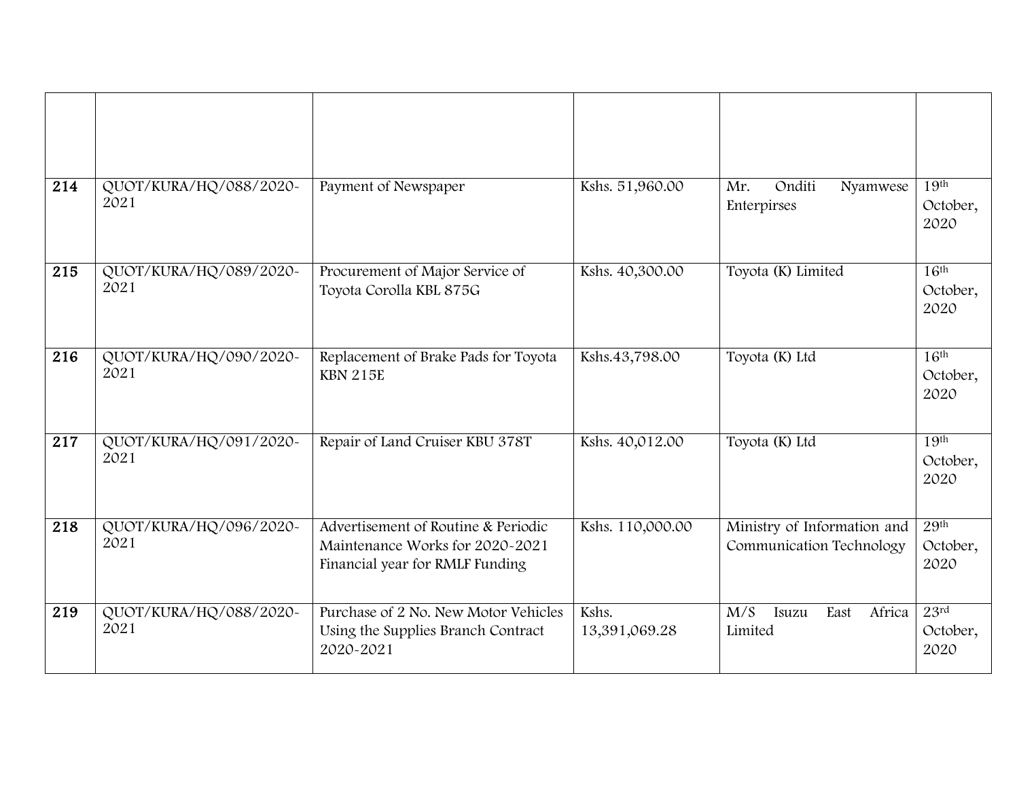| $\overline{214}$ | QUOT/KURA/HQ/088/2020-<br>2021 | Payment of Newspaper                                                                                      | Kshs. 51,960.00        | Onditi<br>Mr.<br>Nyamwese<br>Enterpirses                | 19 <sup>th</sup><br>October,<br>2020 |
|------------------|--------------------------------|-----------------------------------------------------------------------------------------------------------|------------------------|---------------------------------------------------------|--------------------------------------|
| 215              | QUOT/KURA/HQ/089/2020~<br>2021 | Procurement of Major Service of<br>Toyota Corolla KBL 875G                                                | Kshs. 40,300.00        | Toyota (K) Limited                                      | 16 <sup>th</sup><br>October,<br>2020 |
| $\overline{216}$ | QUOT/KURA/HQ/090/2020~<br>2021 | Replacement of Brake Pads for Toyota<br><b>KBN 215E</b>                                                   | Kshs.43,798.00         | Toyota (K) Ltd                                          | 16 <sup>th</sup><br>October,<br>2020 |
| 217              | QUOT/KURA/HQ/091/2020~<br>2021 | Repair of Land Cruiser KBU 378T                                                                           | Kshs. 40,012.00        | Toyota (K) Ltd                                          | 19 <sup>th</sup><br>October,<br>2020 |
| $\overline{218}$ | QUOT/KURA/HQ/096/2020-<br>2021 | Advertisement of Routine & Periodic<br>Maintenance Works for 2020-2021<br>Financial year for RMLF Funding | Kshs. 110,000.00       | Ministry of Information and<br>Communication Technology | 29 <sup>th</sup><br>October,<br>2020 |
| 219              | QUOT/KURA/HQ/088/2020~<br>2021 | Purchase of 2 No. New Motor Vehicles<br>Using the Supplies Branch Contract<br>2020-2021                   | Kshs.<br>13,391,069.28 | Africa<br>M/S<br>East<br>Isuzu<br>Limited               | 23rd<br>October,<br>2020             |